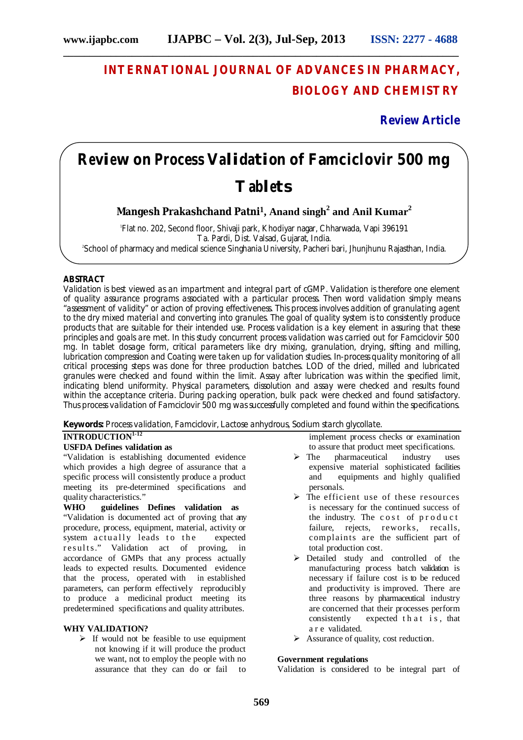**\_\_\_\_\_\_\_\_\_\_\_\_\_\_\_\_\_\_\_\_\_\_\_\_\_\_\_\_\_\_\_\_\_\_\_\_\_\_\_\_\_\_\_\_\_\_\_\_\_\_\_\_\_\_\_\_\_\_\_\_\_\_\_\_\_\_\_\_\_\_\_\_\_\_\_**

## **INTERNATIONAL JOURNAL OF ADVANCES IN PHARMACY, BIOLOGY AND CHEMISTRY**

**Review Article**

# **Review on Process Validation of Famciclovir 500 mg Tablets**

**Mangesh Prakashchand Patni<sup>1</sup>, Anand singh<sup>2</sup> and Anil Kumar<sup>2</sup>**

1 Flat no. 202, Second floor, Shivaji park, Khodiyar nagar, Chharwada, Vapi 396191 Ta. Pardi, Dist. Valsad, Gujarat, India. 2 School of pharmacy and medical science Singhania University, Pacheri bari, Jhunjhunu Rajasthan, India.

#### **ABSTRACT**

Validation is best viewed as an impartment and integral part of cGMP. Validation is therefore one element of quality assurance programs associated with a particular process. Then word validation simply means "assessment of validity" or action of proving effectiveness. This process involves addition of granulating agent to the dry mixed material and converting into granules. The goal of quality system is to consistently produce products that are suitable for their intended use. Process validation is a key element in assuring that these principles and goals are met. In this study concurrent process validation was carried out for Famciclovir 500 mg. In tablet dosage form, critical parameters like dry mixing, granulation, drying, sifting and milling, lubrication compression and Coating were taken up for validation studies. In-process quality monitoring of all critical processing steps was done for three production batches. LOD of the dried, milled and lubricated granules were checked and found within the limit. Assay after lubrication was within the specified limit, indicating blend uniformity. Physical parameters, dissolution and assay were checked and results found within the acceptance criteria. During packing operation, bulk pack were checked and found satisfactory. Thus process validation of Famciclovir 500 mg was successfully completed and found within the specifications.

**Keywords:** Process validation, Famciclovir, Lactose anhydrous, Sodium starch glycollate.

#### **INTRODUCTION 1-12**

#### **USFDA Defines validation as**

"Validation is establishing documented evidence which provides a high degree of assurance that a specific process will consistently produce a product meeting its pre-determined specifications and quality characteristics."

**WHO guidelines Defines validation as** "Validation is documented act of proving that any procedure, process, equipment, material, activity or system actually leads to the expected results." Validation act of proving, in accordance of GMPs that any process actually leads to expected results. Documented evidence that the process, operated with in established parameters, can perform effectively reproducibly to produce a medicinal product meeting its predetermined specifications and quality attributes.

#### **WHY VALIDATION?**

 $\triangleright$  If would not be feasible to use equipment not knowing if it will produce the product we want, not to employ the people with no assurance that they can do or fail to implement process checks or examination to assure that product meet specifications.

- $\triangleright$  The pharmaceutical industry uses expensive material sophisticated facilities<br>and equipments and highly qualified equipments and highly qualified personals.
- $\triangleright$  The efficient use of these resources is necessary for the continued success of the industry. The cost of  $prod$   $p$  roduct failure, rejects, reworks, recalls, complaints are the sufficient part of total production cost.
- Detailed study and controlled of the manufacturing process batch validation is necessary if failure cost is to be reduced and productivity is improved. There are three reasons by pharmaceutical industry are concerned that their processes perform consistently expected that is, that a r e validated.
- $\triangleright$  Assurance of quality, cost reduction.

#### **Government regulations**

Validation is considered to be integral part of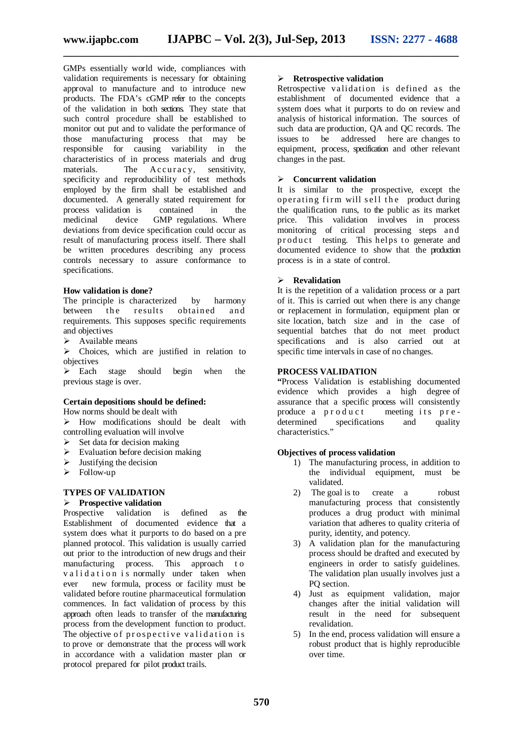GMPs essentially world wide, compliances with validation requirements is necessary for obtaining approval to manufacture and to introduce new products. The FDA's cGMP refer to the concepts of the validation in both sections. They state that such control procedure shall be established to monitor out put and to validate the performance of those manufacturing process that may be responsible for causing variability in the characteristics of in process materials and drug materials. The Accuracy, sensitivity,  $\overline{\text{Accuracy}}$ , sensitivity, specificity and reproducibility of test methods employed by the firm shall be established and documented. A generally stated requirement for process validation is contained in the medicinal device GMP regulations. Where deviations from device specification could occur as result of manufacturing process itself. There shall be written procedures describing any process controls necessary to assure conformance to specifications.

#### **How validation is done?**

The principle is characterized by harmony between the results obtained and requirements. This supposes specific requirements and objectives

 $\triangleright$  Available means

 $\triangleright$  Choices, which are justified in relation to objectives

 $\triangleright$  Each stage should begin when the previous stage is over.

#### **Certain depositions should be defined:**

How norms should be dealt with

 $\triangleright$  How modifications should be dealt with controlling evaluation will involve

- $\triangleright$  Set data for decision making
- $\triangleright$  Evaluation before decision making
- $\triangleright$  Justifying the decision
- $\triangleright$  Follow-up

#### **TYPES OF VALIDATION**

#### **Prospective validation**

Prospective validation is defined as the Establishment of documented evidence that a system does what it purports to do based on a pre planned protocol. This validation is usually carried out prior to the introduction of new drugs and their manufacturing process. This approach to validation is normally under taken when ever new formula, process or facility must be validated before routine pharmaceutical formulation commences. In fact validation of process by this approach often leads to transfer of the manufacturing process from the development function to product. The objective of prospective validation is to prove or demonstrate that the process will work in accordance with a validation master plan or protocol prepared for pilot product trails.

#### **Retrospective validation**

Retrospective validation is defined as the establishment of documented evidence that a system does what it purports to do on review and analysis of historical information. The sources of such data are production, QA and QC records. The issues to be addressed here are changes to equipment, process, specification and other relevant changes in the past.

#### **Concurrent validation**

It is similar to the prospective, except the operating firm will sell the product during the qualification runs, to the public as its market price. This validation involves in process monitoring of critical processing steps and product testing. This helps to generate and documented evidence to show that the production process is in a state of control.

#### **Revalidation**

It is the repetition of a validation process or a part of it. This is carried out when there is any change or replacement in formulation, equipment plan or site location, batch size and in the case of sequential batches that do not meet product specifications and is also carried out at specific time intervals in case of no changes.

#### **PROCESS VALIDATION**

**"**Process Validation is establishing documented evidence which provides a high degree of assurance that a specific process will consistently produce a p r o d u c t meeting its p r e determined specifications and quality characteristics."

#### **Objectives of process validation**

- 1) The manufacturing process, in addition to the individual equipment, must be validated.
- 2) The goal is to create a robust manufacturing process that consistently produces a drug product with minimal variation that adheres to quality criteria of purity, identity, and potency.
- 3) A validation plan for the manufacturing process should be drafted and executed by engineers in order to satisfy guidelines. The validation plan usually involves just a PQ section.
- 4) Just as equipment validation, major changes after the initial validation will result in the need for subsequent revalidation.
- 5) In the end, process validation will ensure a robust product that is highly reproducible over time.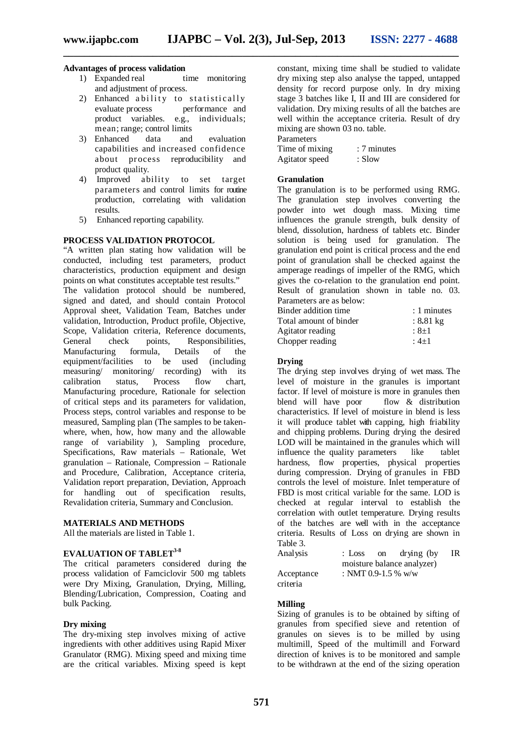#### **Advantages of process validation**

- 1) Expanded real time monitoring and adjustment of process.
- 2) Enhanced a bility to statistically evaluate process performance and product variables. e.g., individuals; mean; range; control limits<br>Enhanced data and
- 3) Enhanced data and evaluation capabilities and increased confidence about process reproducibility and product quality.
- 4) Improved ability to set target parameters and control limits for routine production, correlating with validation results.
- 5) Enhanced reporting capability.

#### **PROCESS VALIDATION PROTOCOL**

"A written plan stating how validation will be conducted, including test parameters, product characteristics, production equipment and design points on what constitutes acceptable test results." The validation protocol should be numbered, signed and dated, and should contain Protocol Approval sheet, Validation Team, Batches under validation, Introduction, Product profile, Objective, Scope, Validation criteria, Reference documents,<br>General check points, Responsibilities, Responsibilities, Manufacturing formula, Details of the equipment/facilities to be used (including measuring/ monitoring/ recording) with its<br>calibration status. Process flow chart, calibration status, Process flow chart, Manufacturing procedure, Rationale for selection of critical steps and its parameters for validation, Process steps, control variables and response to be measured, Sampling plan (The samples to be takenwhere, when, how, how many and the allowable range of variability ), Sampling procedure, Specifications, Raw materials – Rationale, Wet granulation – Rationale, Compression – Rationale and Procedure, Calibration, Acceptance criteria, Validation report preparation, Deviation, Approach for handling out of specification results, Revalidation criteria, Summary and Conclusion.

#### **MATERIALS AND METHODS**

All the materials are listed in Table 1.

#### **EVALUATION OF TABLET 3-8**

The critical parameters considered during the process validation of Famciclovir 500 mg tablets were Dry Mixing, Granulation, Drying, Milling, Blending/Lubrication, Compression, Coating and bulk Packing.

#### **Dry mixing**

The dry-mixing step involves mixing of active ingredients with other additives using Rapid Mixer Granulator (RMG). Mixing speed and mixing time are the critical variables. Mixing speed is kept constant, mixing time shall be studied to validate dry mixing step also analyse the tapped, untapped density for record purpose only. In dry mixing stage 3 batches like I, II and III are considered for validation. Dry mixing results of all the batches are well within the acceptance criteria. Result of dry mixing are shown 03 no. table. **Parameters** 

Time of mixing : 7 minutes Agitator speed : Slow

#### **Granulation**

The granulation is to be performed using RMG. The granulation step involves converting the powder into wet dough mass. Mixing time influences the granule strength, bulk density of blend, dissolution, hardness of tablets etc. Binder solution is being used for granulation. The granulation end point is critical process and the end point of granulation shall be checked against the amperage readings of impeller of the RMG, which gives the co-relation to the granulation end point. Result of granulation shown in table no. 03. Parameters are as below:

| Binder addition time   | $: 1$ minutes       |
|------------------------|---------------------|
| Total amount of binder | $: 8.81 \text{ kg}$ |
| Agitator reading       | $: 8 + 1$           |
| Chopper reading        | $:4+1$              |

#### **Drying**

The drying step involves drying of wet mass. The level of moisture in the granules is important factor. If level of moisture is more in granules then blend will have poor flow & distribution characteristics. If level of moisture in blend is less it will produce tablet with capping, high friability and chipping problems. During drying the desired LOD will be maintained in the granules which will influence the quality parameters like tablet hardness, flow properties, physical properties during compression. Drying of granules in FBD controls the level of moisture. Inlet temperature of FBD is most critical variable for the same. LOD is checked at regular interval to establish the correlation with outlet temperature. Drying results of the batches are well with in the acceptance criteria. Results of Loss on drying are shown in Table 3.<br>Analysis

Acceptance

: Loss on drying (by IR moisture balance analyzer) : NMT 0.9-1.5 % w/w

criteria

#### **Milling**

Sizing of granules is to be obtained by sifting of granules from specified sieve and retention of granules on sieves is to be milled by using multimill, Speed of the multimill and Forward direction of knives is to be monitored and sample to be withdrawn at the end of the sizing operation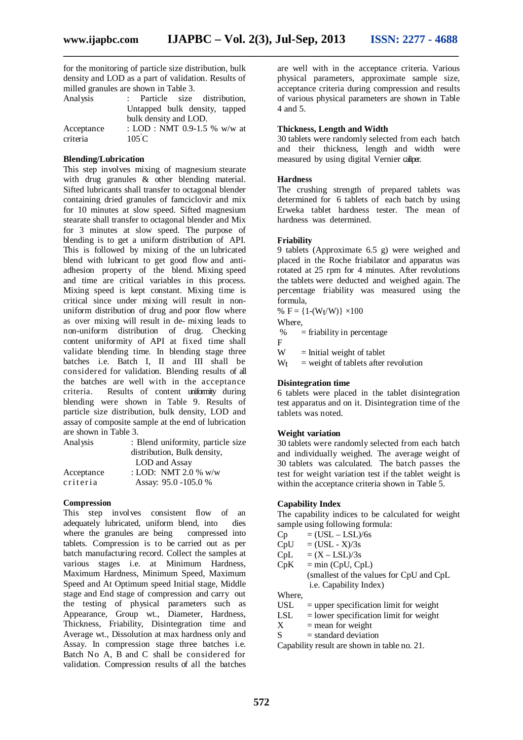for the monitoring of particle size distribution, bulk density and LOD as a part of validation. Results of milled granules are shown in Table 3.

| Analysis   | : Particle size distribution. |
|------------|-------------------------------|
|            | Untapped bulk density, tapped |
|            | bulk density and LOD.         |
| Acceptance | : LOD : NMT 0.9-1.5 % w/w at  |
| criteria   | 105C                          |

#### **Blending/Lubrication**

This step involves mixing of magnesium stearate with drug granules & other blending material. Sifted lubricants shall transfer to octagonal blender containing dried granules of famciclovir and mix for 10 minutes at slow speed. Sifted magnesium stearate shall transfer to octagonal blender and Mix for 3 minutes at slow speed. The purpose of blending is to get a uniform distribution of API. This is followed by mixing of the un lubricated blend with lubricant to get good flow and antiadhesion property of the blend. Mixing speed and time are critical variables in this process. Mixing speed is kept constant. Mixing time is critical since under mixing will result in nonuniform distribution of drug and poor flow where as over mixing will result in de- mixing leads to non-uniform distribution of drug. Checking content uniformity of API at fixed time shall validate blending time. In blending stage three batches i.e. Batch I, II and III shall be considered for validation. Blending results of all the batches are well with in the acceptance criteria. Results of content uniformity during blending were shown in Table 9. Results of particle size distribution, bulk density, LOD and assay of composite sample at the end of lubrication are shown in Table 3.

| Analysis   | : Blend uniformity, particle size |
|------------|-----------------------------------|
|            | distribution, Bulk density,       |
|            | LOD and Assay                     |
| Acceptance | : LOD: NMT 2.0 % $w/w$            |
| criteria   | Assay: 95.0 -105.0 %              |
|            |                                   |

#### **Compression**

This step involves consistent flow of an adequately lubricated, uniform blend, into dies where the granules are being tablets. Compression is to be carried out as per batch manufacturing record. Collect the samples at various stages i.e. at Minimum Hardness, Maximum Hardness, Minimum Speed, Maximum Speed and At Optimum speed Initial stage, Middle stage and End stage of compression and carry out the testing of physical parameters such as Appearance, Group wt., Diameter, Hardness, Thickness, Friability, Disintegration time and Average wt., Dissolution at max hardness only and Assay. In compression stage three batches i.e. Batch No A, B and C shall be considered for validation. Compression results of all the batches

are well with in the acceptance criteria. Various physical parameters, approximate sample size, acceptance criteria during compression and results of various physical parameters are shown in Table 4 and 5.

#### **Thickness, Length and Width**

30 tablets were randomly selected from each batch and their thickness, length and width were measured by using digital Vernier caliper.

#### **Hardness**

The crushing strength of prepared tablets was determined for 6 tablets of each batch by using Erweka tablet hardness tester. The mean of hardness was determined.

#### **Friability**

9 tablets (Approximate 6.5 g) were weighed and placed in the Roche friabilator and apparatus was rotated at 25 rpm for 4 minutes. After revolutions the tablets were deducted and weighed again. The percentage friability was measured using the formula,

%  $F = \{1-(W_t/W)\} \times 100$ 

Where,

%  $=$  friability in percentage

F<br>W  $=$  Initial weight of tablet

 $W_t$  = weight of tablets after revolution

#### **Disintegration time**

6 tablets were placed in the tablet disintegration test apparatus and on it. Disintegration time of the tablets was noted.

#### **Weight variation**

30 tablets were randomly selected from each batch and individually weighed. The average weight of 30 tablets was calculated. The batch passes the test for weight variation test if the tablet weight is within the acceptance criteria shown in Table 5.

#### **Capability Index**

The capability indices to be calculated for weight sample using following formula:

 $\overline{Cp}$  = (USL – LSL)/6s

 $CpU = (USL - X)/3s$ 

 $CpL = (X - LSL)/3s$ 

 $CpK = min (CpU, CpL)$ (smallest of the values for CpU and CpL

i.e. Capability Index)

Where,

- USL = upper specification limit for weight<br>LSL = lower specification limit for weight
- LSL = lower specification limit for weight<br>  $X$  = mean for weight
- $=$  mean for weight
- $S = standard deviation$

Capability result are shown in table no. 21.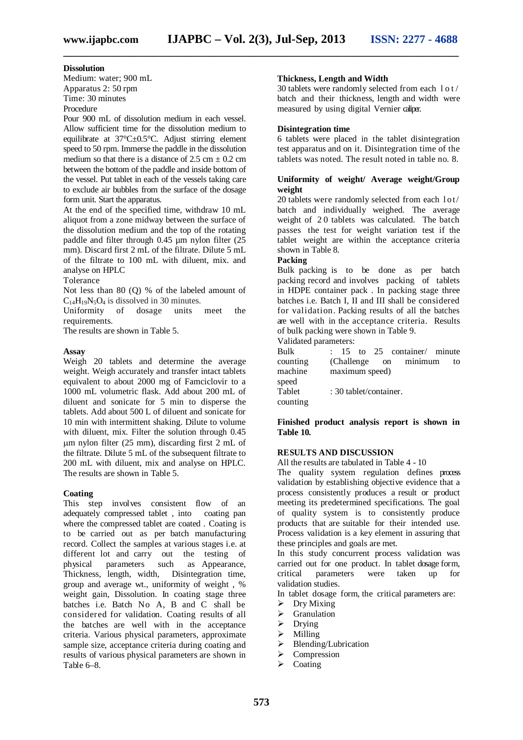#### **Dissolution**

Medium: water; 900 mL Apparatus 2: 50 rpm Time: 30 minutes Procedure

Pour 900 mL of dissolution medium in each vessel. Allow sufficient time for the dissolution medium to equilibrate at 37°C±0.5°C. Adjust stirring element speed to 50 rpm. Immerse the paddle in the dissolution medium so that there is a distance of  $2.5 \text{ cm} \pm 0.2 \text{ cm}$ between the bottom of the paddle and inside bottom of the vessel. Put tablet in each of the vessels taking care to exclude air bubbles from the surface of the dosage form unit. Start the apparatus.

At the end of the specified time, withdraw 10 mL aliquot from a zone midway between the surface of the dissolution medium and the top of the rotating paddle and filter through 0.45 um nylon filter (25 mm). Discard first 2 mL of the filtrate. Dilute 5 mL of the filtrate to 100 mL with diluent, mix. and analyse on HPLC

Tolerance

Not less than 80 (Q) % of the labeled amount of  $C_{14}H_{19}N_5O_4$  is dissolved in 30 minutes.

Uniformity of dosage units meet the requirements.

The results are shown in Table 5.

#### **Assay**

Weigh 20 tablets and determine the average weight. Weigh accurately and transfer intact tablets equivalent to about 2000 mg of Famciclovir to a 1000 mL volumetric flask. Add about 200 mL of diluent and sonicate for 5 min to disperse the tablets. Add about 500 L of diluent and sonicate for 10 min with intermittent shaking. Dilute to volume with diluent, mix. Filter the solution through 0.45 m nylon filter (25 mm), discarding first 2 mL of the filtrate. Dilute 5 mL of the subsequent filtrate to 200 mL with diluent, mix and analyse on HPLC. The results are shown in Table 5.

#### **Coating**

This step involves consistent flow of an adequately compressed tablet , into coating pan where the compressed tablet are coated . Coating is to be carried out as per batch manufacturing record. Collect the samples at various stages i.e. at different lot and carry out the testing of physical parameters such as Appearance, Thickness, length, width, Disintegration time, group and average wt., uniformity of weight , % weight gain, Dissolution. In coating stage three batches i.e. Batch No A, B and C shall be considered for validation. Coating results of all the batches are well with in the acceptance criteria. Various physical parameters, approximate sample size, acceptance criteria during coating and results of various physical parameters are shown in Table 6–8.

#### **Thickness, Length and Width**

30 tablets were randomly selected from each l o t / batch and their thickness, length and width were measured by using digital Vernier caliper.

#### **Disintegration time**

6 tablets were placed in the tablet disintegration test apparatus and on it. Disintegration time of the tablets was noted. The result noted in table no. 8.

#### **Uniformity of weight/ Average weight/Group weight**

20 tablets were randomly selected from each lot/ batch and individually weighed. The average weight of 2.0 tablets was calculated. The batch passes the test for weight variation test if the tablet weight are within the acceptance criteria shown in Table 8.

#### **Packing**

Bulk packing is to be done as per batch packing record and involves packing of tablets in HDPE container pack . In packing stage three batches i.e. Batch I, II and III shall be considered for validation. Packing results of all the batches are well with in the acceptance criteria. Results of bulk packing were shown in Table 9.

Validated parameters:

| Bulk     |                        |  | $: 15$ to 25 container/ minute |    |
|----------|------------------------|--|--------------------------------|----|
| counting |                        |  | (Challenge on minimum          | to |
| machine  | maximum speed)         |  |                                |    |
| speed    |                        |  |                                |    |
| Tablet   | : 30 tablet/container. |  |                                |    |
| counting |                        |  |                                |    |

**Finished product analysis report is shown in Table 10.**

#### **RESULTS AND DISCUSSION**

All the results are tabulated in Table 4 - 10

The quality system regulation defines process validation by establishing objective evidence that a process consistently produces a result or product meeting its predetermined specifications. The goal of quality system is to consistently produce products that are suitable for their intended use. Process validation is a key element in assuring that these principles and goals are met.

In this study concurrent process validation was carried out for one product. In tablet dosage form,<br>critical parameters were taken up for were taken up for validation studies.

In tablet dosage form, the critical parameters are:

- $\triangleright$  Dry Mixing
- $\triangleright$  Granulation<br> $\triangleright$  Drving
- Drying
- $\triangleright$  Milling
- $\triangleright$  Blending/Lubrication
- $\triangleright$  Compression
- Coating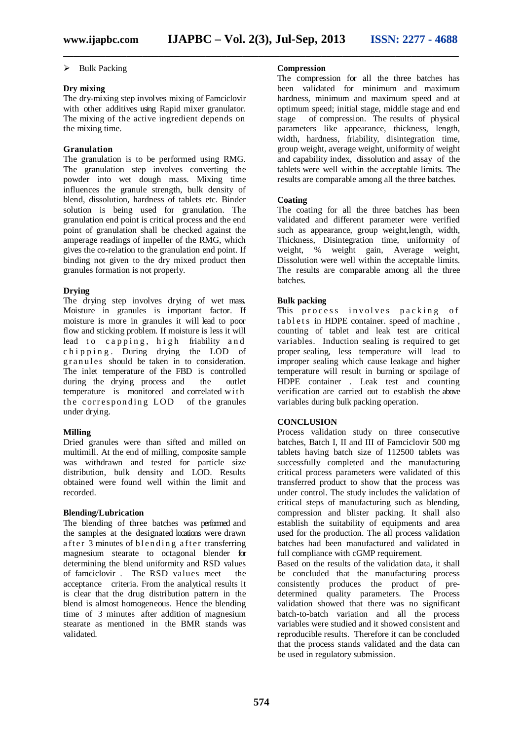#### $\triangleright$  Bulk Packing

#### **Dry mixing**

The dry-mixing step involves mixing of Famciclovir with other additives using Rapid mixer granulator. The mixing of the active ingredient depends on the mixing time.

#### **Granulation**

The granulation is to be performed using RMG. The granulation step involves converting the powder into wet dough mass. Mixing time influences the granule strength, bulk density of blend, dissolution, hardness of tablets etc. Binder solution is being used for granulation. The granulation end point is critical process and the end point of granulation shall be checked against the amperage readings of impeller of the RMG, which gives the co-relation to the granulation end point. If binding not given to the dry mixed product then granules formation is not properly.

#### **Drying**

The drying step involves drying of wet mass. Moisture in granules is important factor. If moisture is more in granules it will lead to poor flow and sticking problem. If moisture is less it will lead to capping, high friability and chipping. During drying the LOD of granules should be taken in to consideration. The inlet temperature of the FBD is controlled<br>during the drying process and the outlet during the drying process and the outlet temperature is monitored and correlated with the corresponding LOD of the granules under drying.

#### **Milling**

Dried granules were than sifted and milled on multimill. At the end of milling, composite sample was withdrawn and tested for particle size distribution, bulk density and LOD. Results obtained were found well within the limit and recorded.

#### **Blending/Lubrication**

The blending of three batches was performed and the samples at the designated locations were drawn after  $3$  minutes of blending after transferring magnesium stearate to octagonal blender for determining the blend uniformity and RSD values of famciclovir . The RSD values meet the acceptance criteria. From the analytical results it is clear that the drug distribution pattern in the blend is almost homogeneous. Hence the blending time of 3 minutes after addition of magnesium stearate as mentioned in the BMR stands was validated.

#### **Compression**

The compression for all the three batches has been validated for minimum and maximum hardness, minimum and maximum speed and at optimum speed; initial stage, middle stage and end stage of compression. The results of physical parameters like appearance, thickness, length, width, hardness, friability, disintegration time, group weight, average weight, uniformity of weight and capability index, dissolution and assay of the tablets were well within the acceptable limits. The results are comparable among all the three batches.

#### **Coating**

The coating for all the three batches has been validated and different parameter were verified such as appearance, group weight,length, width, Thickness, Disintegration time, uniformity of weight, % weight gain, Average weight, Dissolution were well within the acceptable limits. The results are comparable among all the three batches.

#### **Bulk packing**

This process involves packing of tablets in HDPE container. speed of machine, counting of tablet and leak test are critical variables. Induction sealing is required to get proper sealing, less temperature will lead to improper sealing which cause leakage and higher temperature will result in burning or spoilage of HDPE container . Leak test and counting verification are carried out to establish the above variables during bulk packing operation.

#### **CONCLUSION**

Process validation study on three consecutive batches, Batch I, II and III of Famciclovir 500 mg tablets having batch size of 112500 tablets was successfully completed and the manufacturing critical process parameters were validated of this transferred product to show that the process was under control. The study includes the validation of critical steps of manufacturing such as blending, compression and blister packing. It shall also establish the suitability of equipments and area used for the production. The all process validation batches had been manufactured and validated in full compliance with cGMP requirement.

Based on the results of the validation data, it shall be concluded that the manufacturing process consistently produces the product of predetermined quality parameters. The Process validation showed that there was no significant batch-to-batch variation and all the process variables were studied and it showed consistent and reproducible results. Therefore it can be concluded that the process stands validated and the data can be used in regulatory submission.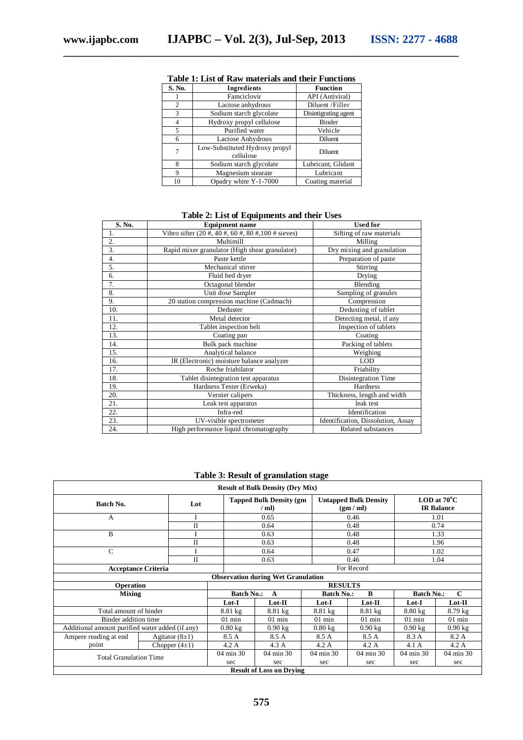| S. No.         | Ingredients                                 | <b>Function</b>      |
|----------------|---------------------------------------------|----------------------|
|                | Famciclovir                                 | API (Antiviral)      |
| $\overline{c}$ | Lactose anhydrous                           | Diluent/Filler       |
| 3              | Sodium starch glycolate                     | Disintigrating agent |
| 4              | Hydroxy propyl cellulose                    | Binder               |
| 5              | Purified water                              | Vehicle              |
| 6              | Lactose Anhydrous                           | Diluent              |
| 7              | Low-Substituted Hydroxy propyl<br>cellulose | Diluent              |
| 8              | Sodium starch glycolate                     | Lubricant, Glidant   |
| 9              | Magnesium stearate                          | Lubricant            |
| 10             | Opadry white Y-1-7000                       | Coating material     |

#### **Table 1: List of Raw materials and their Functions**

**\_\_\_\_\_\_\_\_\_\_\_\_\_\_\_\_\_\_\_\_\_\_\_\_\_\_\_\_\_\_\_\_\_\_\_\_\_\_\_\_\_\_\_\_\_\_\_\_\_\_\_\_\_\_\_\_\_\_\_\_\_\_\_\_\_\_\_\_\_\_\_\_\_\_\_**

#### **Table 2: List of Equipments and their Uses**

| S. No.           | <b>Equipment name</b>                                      | <b>Used for</b>                    |  |  |  |  |
|------------------|------------------------------------------------------------|------------------------------------|--|--|--|--|
| 1.               | Vibro sifter $(20 \#, 40 \#, 60 \#, 80 \#, 100 \#$ sieves) | Sifting of raw materials           |  |  |  |  |
| 2.               | Multimill                                                  | Milling                            |  |  |  |  |
| 3.               | Rapid mixer granulator (High shear granulator)             | Dry mixing and granulation         |  |  |  |  |
| $\overline{4}$ . | Paste kettle                                               | Preparation of paste               |  |  |  |  |
| 5.               | Mechanical stirrer                                         | Stirring                           |  |  |  |  |
| 6.               | Fluid bed dryer                                            | Drying                             |  |  |  |  |
| 7.               | Octagonal blender                                          | Blending                           |  |  |  |  |
| 8.               | Unit dose Sampler                                          | Sampling of granules               |  |  |  |  |
| 9.               | 20 station compression machine (Cadmach)                   | Compression                        |  |  |  |  |
| 10.              | Deduster                                                   | Dedusting of tablet                |  |  |  |  |
| 11.              | Metal detector                                             | Detecting metal, if any            |  |  |  |  |
| 12.              | Tablet inspection belt                                     | Inspection of tablets              |  |  |  |  |
| 13.              | Coating pan                                                | Coating                            |  |  |  |  |
| 14.              | Bulk pack machine                                          | Packing of tablets                 |  |  |  |  |
| 15.              | Analytical balance                                         | Weighing                           |  |  |  |  |
| 16.              | IR (Electronic) moisture balance analyzer                  | <b>LOD</b>                         |  |  |  |  |
| 17.              | Roche friabilator                                          | Friability                         |  |  |  |  |
| 18.              | Tablet disintegration test apparatus                       | Disintegration Time                |  |  |  |  |
| 19.              | Hardness Tester (Erweka)                                   | Hardness                           |  |  |  |  |
| 20.              | Vernier calipers                                           | Thickness, length and width        |  |  |  |  |
| 21.              | Leak test apparatus                                        | leak test                          |  |  |  |  |
| 22.              | Infra-red                                                  | Identification                     |  |  |  |  |
| 23.              | UV-visible spectrometer                                    | Identification, Dissolution, Assay |  |  |  |  |
| 24.              | High performance liquid chromatography                     | Related substances                 |  |  |  |  |

#### **Table 3: Result of granulation stage**

| <b>Result of Bulk Density (Dry Mix)</b>         |                                           |                   |                                          |                   |                                         |                                            |           |  |  |  |  |  |
|-------------------------------------------------|-------------------------------------------|-------------------|------------------------------------------|-------------------|-----------------------------------------|--------------------------------------------|-----------|--|--|--|--|--|
| Batch No.                                       | Lot                                       |                   | <b>Tapped Bulk Density (gm)</b><br>/ ml) |                   | <b>Untapped Bulk Density</b><br>(gm/ml) | LOD at $70^{\circ}$ C<br><b>IR Balance</b> |           |  |  |  |  |  |
| A                                               |                                           |                   | 0.65                                     |                   | 0.46                                    |                                            | 1.01      |  |  |  |  |  |
|                                                 | $\mathbf{I}$                              |                   | 0.64                                     |                   | 0.48                                    |                                            | 0.74      |  |  |  |  |  |
| B                                               |                                           |                   | 0.63                                     |                   | 0.48                                    |                                            | 1.33      |  |  |  |  |  |
|                                                 | $\mathbf{I}$                              |                   | 0.63                                     |                   | 0.48                                    |                                            | 1.96      |  |  |  |  |  |
| C                                               |                                           |                   |                                          |                   | 0.47                                    |                                            | 1.02      |  |  |  |  |  |
|                                                 | $\mathbf{I}$                              |                   | 0.63                                     |                   | 0.46                                    |                                            | 1.04      |  |  |  |  |  |
|                                                 | <b>Acceptance Criteria</b>                |                   |                                          |                   | For Record                              |                                            |           |  |  |  |  |  |
|                                                 | <b>Observation during Wet Granulation</b> |                   |                                          |                   |                                         |                                            |           |  |  |  |  |  |
| Operation                                       |                                           |                   | <b>RESULTS</b>                           |                   |                                         |                                            |           |  |  |  |  |  |
| <b>Mixing</b>                                   |                                           | <b>Batch No.:</b> | A                                        | <b>Batch No.:</b> | B                                       | $\mathbf C$<br><b>Batch No.:</b>           |           |  |  |  |  |  |
|                                                 |                                           | Lot-I             | $_{\rm Lot-II}$                          | Lot-I             | Lot-II                                  | Lot-I                                      | $Lot-II$  |  |  |  |  |  |
| Total amount of binder                          |                                           | $8.81 \text{ kg}$ | $8.81 \text{ kg}$                        | $8.81$ kg         | $8.81 \text{ kg}$                       | $8.80$ kg                                  | $8.79$ kg |  |  |  |  |  |
| Binder addition time                            |                                           | $01$ min          | $01$ min                                 | $01$ min          | $01$ min                                | $01$ min                                   | $01$ min  |  |  |  |  |  |
| Additional amount purified water added (if any) |                                           | $0.80 \text{ kg}$ | $0.90$ kg                                | $0.80$ kg         | $0.90$ kg                               | $0.90$ kg                                  | $0.90$ kg |  |  |  |  |  |
| Ampere reading at end                           | Agitator $(8\pm1)$                        | 8.5 A             | 8.5 A                                    | 8.5 A             | 8.5 A                                   | 8.3 A                                      | 8.2 A     |  |  |  |  |  |
| point                                           | Chopper $(4\pm 1)$                        | 4.2A              | 4.3 A                                    | 4.2A              | 4.2A                                    | 4.1 A                                      | 4.2A      |  |  |  |  |  |
| <b>Total Granulation Time</b>                   |                                           | 04 min 30         | 04 min 30                                | 04 min 30         | 04 min 30                               | 04 min 30                                  | 04 min 30 |  |  |  |  |  |
|                                                 |                                           | sec               | sec                                      | sec               | sec                                     | sec                                        | sec       |  |  |  |  |  |
|                                                 |                                           |                   | <b>Result of Loss on Drying</b>          |                   |                                         |                                            |           |  |  |  |  |  |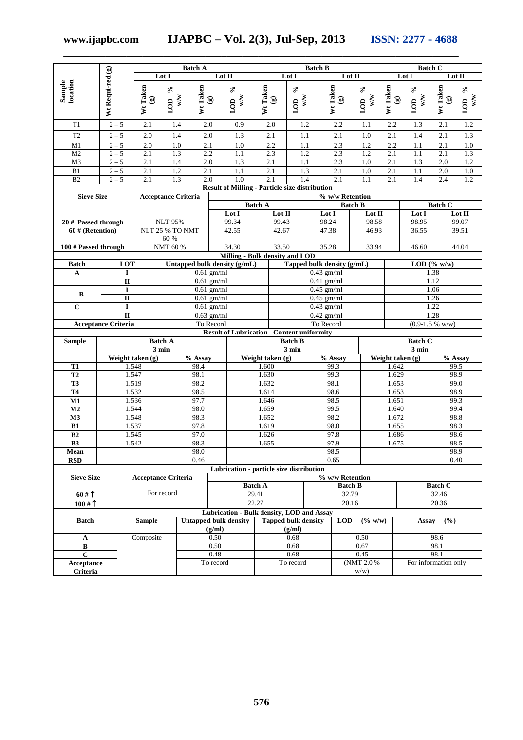**www.ijapbc.com IJAPBC – Vol. 2(3), Jul-Sep, 2013 ISSN: 2277 - 4688**

**\_\_\_\_\_\_\_\_\_\_\_\_\_\_\_\_\_\_\_\_\_\_\_\_\_\_\_\_\_\_\_\_\_\_\_\_\_\_\_\_\_\_\_\_\_\_\_\_\_\_\_\_\_\_\_\_\_\_\_\_\_\_\_\_\_\_\_\_\_\_\_\_\_\_\_**

|                        |                                       | <b>Batch A</b>                             |                             |                              |                                                                  | <b>Batch B</b>                             |                                      |                                      |                     |                                            | <b>Batch C</b>                |                                            |                             |                          |                               |
|------------------------|---------------------------------------|--------------------------------------------|-----------------------------|------------------------------|------------------------------------------------------------------|--------------------------------------------|--------------------------------------|--------------------------------------|---------------------|--------------------------------------------|-------------------------------|--------------------------------------------|-----------------------------|--------------------------|-------------------------------|
|                        |                                       |                                            | Lot I                       |                              | Lot II                                                           |                                            | Lot I                                |                                      |                     | Lot II                                     |                               |                                            | Lot I                       | Lot II                   |                               |
| Sample<br>location     | Wt Requi-red (g)                      | Wt Taken<br>$\textcircled{\scriptsize{s}}$ | $\mathcal{S}$<br>w/w<br>LOD | Wt Taken                     | $\delta^{\rm o}$<br>w/w<br>LOD<br>$\textcircled{\scriptsize{s}}$ | Wt Taken<br>$\textcircled{\scriptsize{s}}$ |                                      | $\mathcal{S}_0$<br>w/w<br>LOD        |                     | Wt Taken<br>$\textcircled{\scriptsize{s}}$ | $\mathcal{S}_0$<br>w/w<br>LOD | Wt Taken<br>$\textcircled{\scriptsize{s}}$ | $\mathcal{S}$<br>w/w<br>LOD | Wt Taken<br>$\mathbf{G}$ | $\mathcal{S}_0$<br>w/w<br>LOD |
| T1                     | $2 - 5$                               | 2.1                                        | 1.4                         | 2.0                          | 0.9                                                              | 2.0                                        |                                      | 1.2                                  |                     | 2.2                                        | 1.1                           | 2.2                                        | 1.3                         | 2.1                      | 1.2                           |
| T <sub>2</sub>         | $2 - 5$                               | 2.0                                        | 1.4                         | 2.0                          | 1.3                                                              | 2.1                                        |                                      | 1.1                                  |                     | 2.1                                        | 1.0                           | 2.1                                        | 1.4                         | 2.1                      | 1.3                           |
| M1                     | $2 - 5$                               | 2.0                                        | 1.0                         | 2.1                          | 1.0                                                              | 2.2                                        |                                      | 1.1                                  |                     | 2.3                                        | 1.2                           | 2.2                                        | 1.1                         | 2.1                      | 1.0                           |
| M <sub>2</sub>         | $2 - 5$                               | 2.1                                        | 1.3                         | 2.2                          | 1.1                                                              | 2.3                                        |                                      | 1.2                                  |                     | 2.3                                        | 1.2                           | 2.1                                        | 1.1                         | 2.1                      | 1.3                           |
| M <sub>3</sub>         | $2 - 5$                               | 2.1                                        | 1.4                         | $2.0\,$                      | 1.3                                                              | 2.1                                        |                                      | 1.1                                  |                     | 2.3                                        | 1.0                           | 2.1                                        | 1.3                         | 2.0                      | 1.2                           |
| $\mathbf{B}1$          | $2 - 5$                               | 2.1                                        | 1.2                         | 2.1                          | 1.1                                                              | 2.1                                        |                                      | 1.3                                  |                     | 2.1                                        | 1.0                           | 2.1                                        | 1.1                         | 2.0                      | $1.0\,$                       |
| $\overline{B2}$        | $2 - 5$                               | $\overline{2.1}$                           | 1.3                         | 2.0                          | 1.0<br><b>Result of Milling - Particle size distribution</b>     | 2.1                                        |                                      | 1.4                                  |                     | 2.1                                        | 1.1                           | 2.1                                        | 1.4                         | 2.4                      | 1.2                           |
| <b>Sieve Size</b>      |                                       |                                            | <b>Acceptance Criteria</b>  |                              |                                                                  |                                            |                                      |                                      |                     | % w/w Retention                            |                               |                                            |                             |                          |                               |
|                        |                                       |                                            |                             |                              |                                                                  | <b>Batch A</b>                             |                                      |                                      |                     | <b>Batch B</b>                             |                               |                                            |                             | <b>Batch C</b>           |                               |
|                        |                                       |                                            |                             |                              | Lot I                                                            |                                            | Lot II                               |                                      | Lot I               |                                            | Lot $\rm II$                  |                                            | Lot I                       |                          | Lot $\Pi$                     |
| 20 # Passed through    |                                       |                                            | <b>NLT 95%</b>              |                              | 99.34                                                            |                                            | 99.43                                |                                      | 98.24               |                                            | 98.58                         |                                            | 98.95                       |                          | 99.07                         |
| $60$ # (Retention)     |                                       |                                            | NLT 25 % TO NMT<br>60 %     |                              | 42.55                                                            |                                            | 42.67                                |                                      | 47.38               |                                            | 46.93                         |                                            | 36.55                       |                          | 39.51                         |
| 100 # Passed through   |                                       |                                            | NMT 60 %                    |                              | 34.30                                                            |                                            | 33.50                                |                                      | 35.28               |                                            | 33.94                         |                                            | 46.60                       |                          | 44.04                         |
|                        |                                       |                                            |                             |                              | Milling - Bulk density and LOD                                   |                                            |                                      |                                      |                     |                                            |                               |                                            |                             |                          |                               |
| <b>Batch</b>           | LOT                                   |                                            |                             |                              | Untapped bulk density (g/mL)                                     |                                            |                                      |                                      |                     | Tapped bulk density (g/mL)                 |                               |                                            |                             | LOD $(\% w/w)$           |                               |
| A                      | I                                     |                                            |                             |                              | $0.61$ gm/ml                                                     |                                            |                                      |                                      | $0.43$ gm/ml        |                                            |                               |                                            |                             | 1.38                     |                               |
|                        | $\mathbf{I}$                          |                                            |                             |                              | $0.61$ gm/ml                                                     |                                            | $0.41$ gm/ml<br>$0.45$ gm/ml         |                                      |                     |                                            |                               |                                            |                             | 1.12                     |                               |
| B                      | $\mathbf I$<br>$\mathbf{I}\mathbf{I}$ |                                            |                             | $0.61$ gm/ml<br>$0.61$ gm/ml |                                                                  |                                            |                                      |                                      | $0.45$ gm/ml        |                                            |                               |                                            |                             | 1.06<br>1.26             |                               |
| $\mathbf C$            | $\bf I$                               |                                            |                             | $0.61$ gm/ml                 |                                                                  |                                            |                                      |                                      | $0.43$ gm/ml        |                                            |                               |                                            |                             | 1.22                     |                               |
|                        | $\mathbf{II}$                         |                                            |                             |                              | $0.63$ gm/ml                                                     |                                            |                                      |                                      | $0.42$ gm/ml        |                                            |                               |                                            |                             | 1.28                     |                               |
|                        | <b>Acceptance Criteria</b>            |                                            |                             |                              | To Record                                                        |                                            |                                      |                                      | To Record           |                                            |                               |                                            |                             | $(0.9-1.5 %$ w/w)        |                               |
|                        |                                       |                                            |                             |                              | <b>Result of Lubrication - Content uniformity</b>                |                                            |                                      |                                      |                     |                                            |                               |                                            |                             |                          |                               |
| <b>Sample</b>          |                                       |                                            | <b>Batch A</b><br>3 min     |                              |                                                                  |                                            |                                      | <b>Batch B</b>                       |                     |                                            |                               |                                            | <b>Batch C</b><br>3 min     |                          |                               |
|                        |                                       | Weight taken (g)                           |                             | % Assay                      |                                                                  |                                            | 3 min<br>Weight taken (g)<br>% Assay |                                      |                     |                                            |                               | Weight taken (g)                           |                             |                          | % Assay                       |
| T1                     |                                       | 1.548                                      |                             | 98.4                         |                                                                  | 1.600                                      |                                      |                                      |                     | 99.3                                       |                               | 1.642                                      |                             | 99.5                     |                               |
| T2                     |                                       | 1.547                                      |                             | 98.1                         |                                                                  | 1.630                                      |                                      |                                      |                     | 99.3                                       | 1.629                         |                                            |                             | 98.9                     |                               |
| <b>T3</b>              |                                       | 1.519                                      |                             | 98.2                         |                                                                  | 1.632                                      |                                      |                                      |                     | 98.1                                       |                               | 1.653                                      |                             |                          | 99.0                          |
| <b>T4</b><br>M1        |                                       | 1.532<br>1.536                             |                             | 98.5<br>97.7                 |                                                                  | 1.614<br>1.646                             |                                      |                                      |                     | 98.6<br>98.5                               |                               | 1.653<br>1.651                             |                             | 99.3                     | 98.9                          |
| M <sub>2</sub>         |                                       | 1.544                                      |                             | 98.0                         |                                                                  | 1.659                                      |                                      |                                      |                     | 99.5                                       |                               | 1.640                                      |                             | 99.4                     |                               |
| M3                     |                                       | 1.548                                      |                             | 98.3                         |                                                                  | 1.652                                      |                                      |                                      |                     | 98.2                                       |                               | 1.672                                      |                             |                          | 98.8                          |
| B1                     |                                       | 1.537                                      |                             | 97.8                         |                                                                  | 1.619                                      |                                      |                                      |                     | 98.0                                       |                               | 1.655                                      |                             | 98.3                     |                               |
| B2                     |                                       | 1.545<br>1.542                             |                             | 97.0<br>98.3                 |                                                                  | 1.626                                      |                                      |                                      |                     | 97.8<br>97.9                               |                               | 1.686                                      |                             | 98.5                     | 98.6                          |
| B <sub>3</sub><br>Mean |                                       |                                            |                             | 98.0                         |                                                                  | 1.655                                      |                                      |                                      |                     | 98.5                                       |                               | 1.675                                      |                             | 98.9                     |                               |
| <b>RSD</b>             |                                       |                                            |                             | 0.46                         |                                                                  |                                            |                                      |                                      |                     | 0.65                                       |                               |                                            |                             |                          | 0.40                          |
|                        |                                       |                                            |                             |                              | Lubrication - particle size distribution                         |                                            |                                      |                                      |                     |                                            |                               |                                            |                             |                          |                               |
| <b>Sieve Size</b>      |                                       |                                            | <b>Acceptance Criteria</b>  |                              |                                                                  |                                            |                                      |                                      |                     | % w/w Retention                            |                               |                                            |                             |                          |                               |
|                        |                                       |                                            | For record                  |                              |                                                                  | <b>Batch A</b>                             |                                      |                                      |                     | <b>Batch B</b>                             |                               |                                            |                             | <b>Batch C</b>           |                               |
| 60#                    |                                       |                                            |                             |                              |                                                                  | 29.41<br>22.27                             |                                      |                                      |                     | 32.79<br>20.16                             |                               |                                            |                             | 32.46<br>20.36           |                               |
| 100#                   |                                       |                                            |                             |                              | Lubrication - Bulk density, LOD and Assay                        |                                            |                                      |                                      |                     |                                            |                               |                                            |                             |                          |                               |
| <b>Batch</b>           |                                       | <b>Sample</b>                              |                             |                              | <b>Untapped bulk density</b><br>(g/ml)                           |                                            |                                      | <b>Tapped bulk density</b><br>(g/ml) |                     | <b>LOD</b>                                 | (% w/w)                       |                                            | (%)<br>Assay                |                          |                               |
| A                      |                                       | Composite                                  |                             |                              | 0.50                                                             |                                            |                                      | 0.68                                 |                     |                                            | 0.50                          |                                            |                             | 98.6                     |                               |
| B                      |                                       |                                            |                             |                              | 0.50                                                             |                                            |                                      | 0.68                                 |                     |                                            | 0.67                          |                                            |                             | 98.1                     |                               |
| $\mathbf C$            |                                       |                                            |                             |                              | 0.48                                                             |                                            |                                      | 0.68                                 |                     |                                            | 0.45                          |                                            |                             | 98.1                     |                               |
| Acceptance<br>Criteria |                                       |                                            |                             |                              | To record                                                        |                                            |                                      | To record                            | (NMT 2.0 %)<br>w/w) |                                            |                               |                                            | For information only        |                          |                               |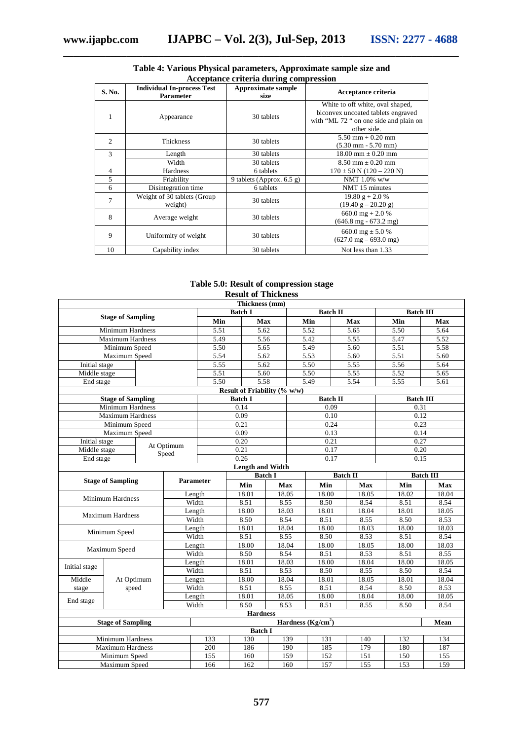| S. No.         | <b>Individual In-process Test</b><br><b>Parameter</b> | Approximate sample<br>size  | Acceptance criteria                                                                                                             |
|----------------|-------------------------------------------------------|-----------------------------|---------------------------------------------------------------------------------------------------------------------------------|
| 1              | Appearance                                            | 30 tablets                  | White to off white, oval shaped,<br>biconvex uncoated tablets engraved<br>with "ML 72 " on one side and plain on<br>other side. |
| $\overline{c}$ | Thickness                                             | 30 tablets                  | $5.50$ mm $+ 0.20$ mm<br>$(5.30 \text{ mm} - 5.70 \text{ mm})$                                                                  |
| 3              | Length                                                | 30 tablets                  | $18.00$ mm $\pm$ 0.20 mm                                                                                                        |
|                | Width                                                 | 30 tablets                  | $8.50$ mm $\pm$ 0.20 mm                                                                                                         |
| 4              | Hardness                                              | 6 tablets                   | $170 \pm 50$ N $(120 - 220$ N)                                                                                                  |
| 5              | Friability                                            | 9 tablets (Approx. $6.5$ g) | NMT $1.0\%$ w/w                                                                                                                 |
| 6              | Disintegration time                                   | 6 tablets                   | NMT 15 minutes                                                                                                                  |
| 7              | Weight of 30 tablets (Group)<br>weight)               | 30 tablets                  | $19.80 g + 2.0 %$<br>$(19.40 g - 20.20 g)$                                                                                      |
| 8              | Average weight                                        | 30 tablets                  | 660.0 mg + 2.0 %<br>$(646.8 \text{ mg} - 673.2 \text{ mg})$                                                                     |
| 9              | Uniformity of weight                                  | 30 tablets                  | 660.0 mg $\pm$ 5.0 %<br>$(627.0 \text{ mg} - 693.0 \text{ mg})$                                                                 |
| 10             | Capability index                                      | 30 tablets                  | Not less than 1.33                                                                                                              |

#### **Table 4: Various Physical parameters, Approximate sample size and Acceptance criteria during compression**

#### **Table 5.0: Result of compression stage Result of Thickness**

| Thickness (mm)               |                          |                  |                |                   |                 |       |                 |                     |                  |                   |       |  |
|------------------------------|--------------------------|------------------|----------------|-------------------|-----------------|-------|-----------------|---------------------|------------------|-------------------|-------|--|
|                              |                          |                  |                |                   | <b>Batch I</b>  |       |                 | <b>Batch II</b>     |                  | <b>Batch III</b>  |       |  |
|                              | <b>Stage of Sampling</b> |                  |                | Min               | <b>Max</b>      |       |                 | Min                 | Max              | Min               | Max   |  |
|                              | <b>Minimum Hardness</b>  |                  |                | $\overline{5.51}$ | 5.62            |       |                 | 5.52                | 5.65             | $\overline{5.50}$ | 5.64  |  |
|                              | <b>Maximum Hardness</b>  |                  |                | 5.49              | 5.56            |       |                 | 5.42                | 5.55             | 5.47              | 5.52  |  |
|                              | Minimum Speed            |                  |                | 5.50              | 5.65            |       |                 | 5.49                | 5.60             | 5.51              | 5.58  |  |
|                              | Maximum Speed            |                  |                | 5.54              | 5.62            |       |                 | 5.53                | 5.60             | 5.51              | 5.60  |  |
| Initial stage                |                          |                  |                | 5.55              | 5.62            |       |                 | 5.50                | 5.55             | 5.56              | 5.64  |  |
| Middle stage                 |                          |                  |                | 5.51              | 5.60            |       |                 | 5.50                | 5.55             | 5.52              | 5.65  |  |
| End stage                    |                          |                  |                | 5.50              | 5.58            |       |                 | 5.49                | 5.54             | 5.55              | 5.61  |  |
| Result of Friability (% w/w) |                          |                  |                |                   |                 |       |                 |                     |                  |                   |       |  |
|                              | <b>Stage of Sampling</b> |                  |                |                   | <b>Batch I</b>  |       |                 | <b>Batch II</b>     |                  | <b>Batch III</b>  |       |  |
|                              | <b>Minimum Hardness</b>  |                  |                |                   | 0.14            |       |                 | 0.09                |                  | 0.31              |       |  |
|                              | <b>Maximum Hardness</b>  |                  |                |                   | 0.09            |       |                 | 0.10                |                  | 0.12              |       |  |
|                              | Minimum Speed            |                  |                |                   | 0.21            |       |                 | 0.24                |                  | 0.23              |       |  |
|                              | Maximum Speed            |                  |                |                   | 0.09            |       |                 | 0.13                |                  | 0.14              |       |  |
| Initial stage                |                          |                  | At Optimum     |                   | 0.20            |       |                 | 0.21                |                  | 0.27              |       |  |
| Middle stage                 |                          |                  | Speed          |                   | 0.21            |       |                 | 0.17                |                  | 0.20              |       |  |
| End stage                    |                          |                  |                |                   | 0.26            |       |                 | 0.17                |                  | 0.15              |       |  |
| <b>Length and Width</b>      |                          |                  |                |                   |                 |       |                 |                     |                  |                   |       |  |
| <b>Stage of Sampling</b>     |                          | <b>Parameter</b> | <b>Batch I</b> |                   |                 |       | <b>Batch II</b> |                     | <b>Batch III</b> |                   |       |  |
|                              |                          |                  |                |                   | Min             | Max   |                 | Min                 | Max              | Min               | Max   |  |
|                              | <b>Minimum Hardness</b>  |                  |                | Length            | 18.01           | 18.05 |                 | 18.00               | 18.05            | 18.02             | 18.04 |  |
|                              |                          |                  |                | Width             | 8.51            | 8.55  |                 | 8.50                | 8.54             | 8.51              | 8.54  |  |
|                              | Maximum Hardness         |                  |                | Length            | 18.00           | 18.03 |                 | 18.01               | 18.04            | 18.01             | 18.05 |  |
|                              |                          |                  |                | Width             | 8.50            | 8.54  |                 | 8.51                | 8.55             | 8.50              | 8.53  |  |
|                              | Minimum Speed            |                  |                | Length            | 18.01           | 18.04 |                 | 18.00               | 18.03            | 18.00             | 18.03 |  |
|                              |                          |                  |                | Width             | 8.51            | 8.55  |                 | 8.50                | 8.53             | 8.51              | 8.54  |  |
|                              | Maximum Speed            |                  |                | Length            | 18.00           | 18.04 |                 | 18.00               | 18.05            | 18.00             | 18.03 |  |
|                              |                          |                  |                | Width             | 8.50            | 8.54  |                 | 8.51                | 8.53             | 8.51              | 8.55  |  |
| Initial stage                |                          |                  |                | Length            | 18.01           | 18.03 |                 | 18.00               | 18.04            | 18.00             | 18.05 |  |
|                              |                          |                  |                | Width             | 8.51            | 8.53  |                 | 8.50                | 8.55             | 8.50              | 8.54  |  |
| Middle                       | At Optimum               |                  |                | Length            | 18.00           | 18.04 |                 | 18.01               | 18.05            | 18.01             | 18.04 |  |
| stage                        | speed                    |                  |                | Width             | 8.51            | 8.55  |                 | 8.51                | 8.54             | 8.50              | 8.53  |  |
| End stage                    |                          |                  |                | Length            | 18.01           | 18.05 |                 | 18.00               | 18.04            | 18.00             | 18.05 |  |
|                              |                          |                  |                | Width             | 8.50            | 8.53  |                 | 8.51                | 8.55             | 8.50              | 8.54  |  |
|                              |                          |                  |                |                   | <b>Hardness</b> |       |                 |                     |                  |                   |       |  |
|                              | <b>Stage of Sampling</b> |                  |                |                   |                 |       |                 | Hardness $(Kg/cm2)$ |                  |                   | Mean  |  |
|                              |                          |                  |                |                   | <b>Batch I</b>  |       |                 |                     |                  |                   |       |  |
|                              | <b>Minimum Hardness</b>  |                  |                | 133               | 130             | 139   |                 | 131                 | 140              | 132               | 134   |  |
|                              | <b>Maximum Hardness</b>  |                  |                | 200               | 186             |       | 190             | 185                 | 179              | 180               | 187   |  |
|                              | Minimum Speed            |                  |                | 155               | 160             |       | 159             | 152                 | 151              | 150               | 155   |  |
|                              | Maximum Speed            |                  |                | 166               | 162             |       | 160             | 157                 | 155              | 153               | 159   |  |

**577**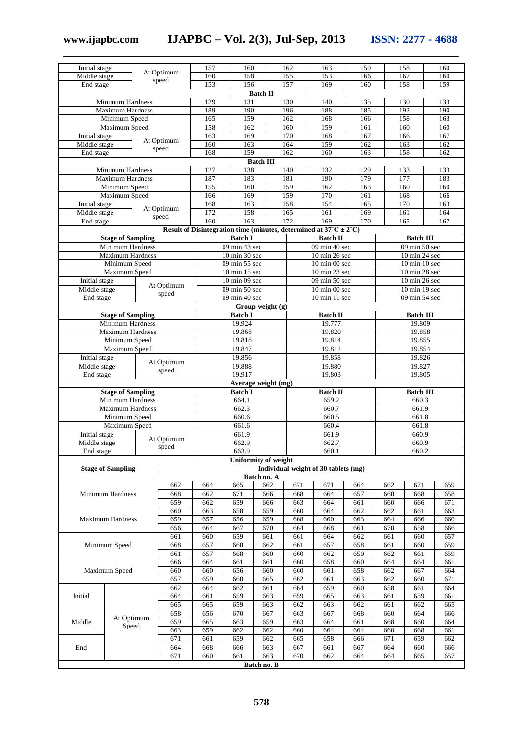**www.ijapbc.com IJAPBC – Vol. 2(3), Jul-Sep, 2013 ISSN: 2277 - 4688**

| Initial stage                            |                                              |        |                     | 157              | 160                              |                      | 162        | 163                                                                         | 159              |            | 158                            | 160        |  |
|------------------------------------------|----------------------------------------------|--------|---------------------|------------------|----------------------------------|----------------------|------------|-----------------------------------------------------------------------------|------------------|------------|--------------------------------|------------|--|
| Middle stage                             |                                              |        | At Optimum          | 160              | 158                              |                      | 155        | 153                                                                         | 166              |            | 167                            | 160        |  |
| End stage                                |                                              |        | speed               | 153              | 156                              |                      | 157        | 169                                                                         | 160              | 158<br>159 |                                |            |  |
|                                          |                                              |        |                     |                  |                                  | <b>Batch II</b>      |            |                                                                             |                  |            |                                |            |  |
|                                          | <b>Minimum Hardness</b>                      |        |                     | 129              | 131                              |                      | 130        | 140                                                                         | 135              |            | 130                            | 133        |  |
|                                          | <b>Maximum Hardness</b><br>Minimum Speed     |        |                     | 189              | 190<br>159                       |                      | 196        | 188                                                                         | 185              |            | 192<br>158                     | 190        |  |
|                                          | Maximum Speed                                |        |                     | 165<br>158       | 162                              |                      | 162<br>160 | 168<br>159                                                                  | 166<br>161       |            | 160                            | 163<br>160 |  |
| Initial stage                            |                                              |        |                     | 163              | 169                              |                      | 170        | 168                                                                         | 167              |            | 166                            | 167        |  |
| Middle stage                             |                                              |        | At Optimum          | 160              | 163                              |                      | 164        | 159                                                                         | 162              |            | 163                            | 162        |  |
| End stage                                |                                              |        | speed               | 168              | 159                              |                      | 162        | 160                                                                         | 163              |            | 158                            | 162        |  |
|                                          |                                              |        |                     | 127              |                                  | <b>Batch III</b>     |            |                                                                             |                  |            |                                |            |  |
|                                          | <b>Minimum Hardness</b>                      |        |                     |                  | 138                              |                      | 140        | 132                                                                         | 129              |            | 133                            | 133        |  |
| <b>Maximum Hardness</b><br>Minimum Speed |                                              |        |                     | 187<br>155       | 183<br>160                       |                      | 181<br>159 | 190<br>162                                                                  | 179<br>163       |            | 177<br>160                     | 183<br>160 |  |
|                                          | Maximum Speed                                |        |                     | 166              | 169                              |                      | 159        | 170                                                                         | 161              |            | 168                            | 166        |  |
| Initial stage                            |                                              |        |                     | $16\overline{8}$ | 163                              |                      | 158        | 154                                                                         | $16\overline{5}$ |            | 170                            | 163        |  |
| Middle stage                             |                                              |        | At Optimum          | 172              | 158                              |                      | 165        | 161                                                                         | 169              |            | 161                            | 164        |  |
| End stage                                |                                              |        | speed               | 160              | 163                              |                      | 172        | 169                                                                         | 170              |            | 165                            | 167        |  |
|                                          |                                              |        |                     |                  |                                  |                      |            | Result of Disintegration time (minutes, determined at $37^{\circ}$ C ± 2°C) |                  |            |                                |            |  |
|                                          | <b>Stage of Sampling</b>                     |        |                     |                  | <b>Batch I</b>                   |                      |            | <b>Batch II</b>                                                             |                  |            | <b>Batch III</b>               |            |  |
|                                          | Minimum Hardness<br><b>Maximum Hardness</b>  |        |                     |                  | 09 min 43 sec<br>10 min 30 sec   |                      |            | 09 min 40 sec<br>10 min 26 sec                                              |                  |            | 09 min 50 sec<br>10 min 24 sec |            |  |
|                                          | Minimum Speed                                |        |                     |                  | 09 min 55 sec                    |                      |            | 10 min 00 sec                                                               |                  |            | 10 min 10 sec                  |            |  |
|                                          | Maximum Speed                                |        |                     |                  | 10 min 15 sec                    |                      |            | 10 min 23 sec                                                               |                  |            | 10 min 28 sec                  |            |  |
| Initial stage                            |                                              |        |                     |                  | $10 \text{ min } 09 \text{ sec}$ |                      |            | $\overline{09}$ min 50 sec                                                  |                  |            | 10 min 26 sec                  |            |  |
| Middle stage                             |                                              |        | At Optimum<br>speed |                  | $09 \text{ min } 50 \text{ sec}$ |                      |            | 10 min 00 sec                                                               |                  |            | 10 min 19 sec                  |            |  |
| End stage                                |                                              |        |                     |                  | 09 min $40 \overline{sec}$       |                      |            | 10 min 11 sec                                                               |                  |            | 09 min 54 sec                  |            |  |
|                                          |                                              |        |                     |                  |                                  | Group weight (g)     |            |                                                                             |                  |            |                                |            |  |
|                                          | <b>Stage of Sampling</b><br>Minimum Hardness |        |                     |                  | <b>Batch I</b><br>19.924         |                      |            | <b>Batch II</b><br>19.777                                                   |                  |            | <b>Batch III</b><br>19.809     |            |  |
|                                          |                                              | 19.868 |                     |                  | 19.820                           |                      |            | 19.858                                                                      |                  |            |                                |            |  |
|                                          | <b>Maximum Hardness</b><br>Minimum Speed     |        |                     |                  | 19.818                           |                      |            | 19.814                                                                      |                  |            | 19.855                         |            |  |
|                                          | Maximum Speed                                |        |                     |                  |                                  |                      |            | 19.812                                                                      |                  |            | 19.854                         |            |  |
|                                          | Initial stage<br>At Optimum                  |        |                     |                  | 19.856                           |                      |            | 19.858                                                                      |                  |            | 19.826                         |            |  |
|                                          | Middle stage<br>speed                        |        |                     |                  | 19.888<br>19.917                 |                      |            | 19.880                                                                      |                  |            | 19.827                         |            |  |
|                                          | End stage                                    |        |                     |                  |                                  |                      |            | 19.803                                                                      |                  |            | 19.805                         |            |  |
|                                          | <b>Stage of Sampling</b>                     |        |                     |                  | <b>Batch I</b>                   | Average weight (mg)  |            | <b>Batch II</b>                                                             |                  |            | <b>Batch III</b>               |            |  |
|                                          | <b>Minimum Hardness</b>                      |        |                     |                  | 664.1                            |                      |            | 659.2                                                                       |                  |            | 660.3                          |            |  |
|                                          | <b>Maximum Hardness</b>                      |        |                     |                  | 662.3                            |                      |            | 660.7                                                                       |                  |            | 661.9                          |            |  |
|                                          | Minimum Speed                                |        |                     |                  | 660.6                            |                      |            | 660.5                                                                       |                  | 661.8      |                                |            |  |
|                                          | Maximum Speed                                |        |                     |                  | 661.6                            |                      |            | 660.4                                                                       |                  | 661.8      |                                |            |  |
| Initial stage                            |                                              |        | At Optimum          |                  | 661.9                            |                      |            | 661.9                                                                       |                  |            | 660.9                          |            |  |
| Middle stage<br>End stage                |                                              |        | speed               |                  | 662.9<br>663.9                   |                      |            | 662.7<br>660.1                                                              |                  |            | 660.9<br>660.2                 |            |  |
|                                          |                                              |        |                     |                  |                                  | Uniformity of weight |            |                                                                             |                  |            |                                |            |  |
|                                          | <b>Stage of Sampling</b>                     |        |                     |                  |                                  |                      |            | Individual weight of 30 tablets (mg)                                        |                  |            |                                |            |  |
|                                          |                                              |        |                     |                  |                                  | Batch no. A          |            |                                                                             |                  |            |                                |            |  |
|                                          |                                              |        | 662                 | 664              | 665                              | 662                  | 671        | 671                                                                         | 664              | 662        | 671                            | 659        |  |
|                                          | Minimum Hardness                             |        | 668                 | 662              | 671                              | 666                  | 668        | 664                                                                         | 657              | 660        | 668                            | 658        |  |
|                                          |                                              |        | 659<br>660          | 662<br>663       | 659<br>658                       | 666<br>659           | 663<br>660 | 664<br>664                                                                  | 661<br>662       | 660<br>662 | 666<br>661                     | 671<br>663 |  |
|                                          | Maximum Hardness                             |        | 659                 | 657              | 656                              | 659                  | 668        | 660                                                                         | 663              | 664        | 666                            | 660        |  |
|                                          |                                              |        | 656                 | 664              | 667                              | 670                  | 664        | 668                                                                         | 661              | 670        | 658                            | 666        |  |
|                                          |                                              |        | 661                 | 660              | 659                              | 661                  | 661        | 664                                                                         | 662              | 661        | 660                            | 657        |  |
|                                          | Minimum Speed                                |        | 668                 | 657              | 660                              | 662                  | 661        | 657                                                                         | 658              | 661        | 660                            | 659        |  |
|                                          |                                              |        | 661                 | 657              | 668                              | 660                  | 660        | 662                                                                         | 659              | 662        | 661                            | 659        |  |
|                                          |                                              |        | 666                 | 664              | 661                              | 661                  | 660        | 658                                                                         | 660              | 664        | 664                            | 661        |  |
|                                          | Maximum Speed                                |        | 660<br>657          | 660<br>659       | 656<br>660                       | 660<br>665           | 660<br>662 | 661<br>661                                                                  | 658<br>663       | 662<br>662 | 667<br>660                     | 664<br>671 |  |
|                                          |                                              |        | 662                 | 664              | 662                              | 661                  | 664        | 659                                                                         | 660              | 658        | 661                            | 664        |  |
| Initial                                  |                                              |        | 664                 | 661              | 659                              | 663                  | 659        | 665                                                                         | 663              | 661        | 659                            | 661        |  |
|                                          |                                              |        | 665                 | 665              | 659                              | 663                  | 662        | 663                                                                         | 662              | 661        | 662                            | 665        |  |
|                                          | At Optimum                                   |        | 658                 | 656              | 670                              | 667                  | 663        | 667                                                                         | 668              | 660        | 664                            | 666        |  |
| Middle                                   | Speed                                        |        | 659                 | 665              | 663                              | 659                  | 663        | 664                                                                         | 661              | 668        | 660                            | 664        |  |
|                                          |                                              |        | 663                 | 659              | 662                              | 662                  | 660        | 664                                                                         | 664              | 660        | 668                            | 661        |  |
|                                          |                                              |        | 671                 | 661              | 659                              | 662                  | 665        | 658                                                                         | 666              | 671        | 659                            | 662        |  |
| End                                      |                                              |        | 664                 | 668              | 666                              | 663                  | 667        | 661                                                                         | 667              | 664        | 660                            | 666        |  |
|                                          |                                              |        | 671                 | 660              | 661                              | 663                  | 670        | 662                                                                         | 664              | 664        | 665                            | 657        |  |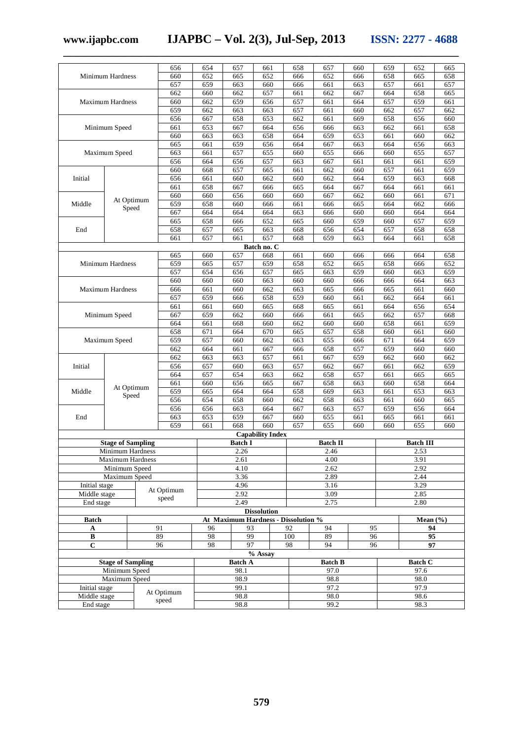**www.ijapbc.com IJAPBC – Vol. 2(3), Jul-Sep, 2013 ISSN: 2277 - 4688 \_\_\_\_\_\_\_\_\_\_\_\_\_\_\_\_\_\_\_\_\_\_\_\_\_\_\_\_\_\_\_\_\_\_\_\_\_\_\_\_\_\_\_\_\_\_\_\_\_\_\_\_\_\_\_\_\_\_\_\_\_\_\_\_\_\_\_\_\_\_\_\_\_\_\_**

|               |                          |  | 656        | 654 | 657            | 661                                 | 658 | 657             | 660 | 659                    | 652              | 665 |
|---------------|--------------------------|--|------------|-----|----------------|-------------------------------------|-----|-----------------|-----|------------------------|------------------|-----|
|               | Minimum Hardness         |  | 660        | 652 | 665            | 652                                 | 666 | 652             | 666 | 658                    | 665              | 658 |
|               |                          |  | 657        | 659 | 663            | 660                                 | 666 | 661             | 663 | 657                    | 661              | 657 |
|               |                          |  | 662        | 660 | 662            | 657                                 | 661 | 662             | 667 | 664                    | 658              | 665 |
|               | Maximum Hardness         |  | 660        | 662 | 659            | 656                                 | 657 | 661             | 664 | 657                    | 659              | 661 |
|               |                          |  | 659        | 662 | 663            | 663                                 | 657 | 661             | 660 | 662                    | 657              | 662 |
|               |                          |  | 656        | 667 | 658            | 653                                 | 662 | 661             | 669 | 658                    | 656              | 660 |
|               | Minimum Speed            |  | 661        | 653 | 667            | 664                                 | 656 | 666             | 663 | 662                    | 661              | 658 |
|               |                          |  | 660        | 663 | 663            | 658                                 | 664 | 659             | 653 | 661                    | 660              | 662 |
|               |                          |  | 665        | 661 | 659            | 656                                 | 664 | 667             | 663 | 664                    | 656              | 663 |
|               | Maximum Speed            |  | 663        | 661 | 657            | 655                                 | 660 | 655             | 666 | 660                    | 655              | 657 |
|               |                          |  | 656        | 664 | 656            | 657                                 | 663 | 667             | 661 | 661                    | 661              | 659 |
|               |                          |  | 660        | 668 | 657            | 665                                 | 661 | 662             | 660 | 657                    | 661              | 659 |
|               |                          |  | 656        | 661 | 660            | 662                                 | 660 | 662             | 664 | 659                    | 663              | 668 |
| Initial       |                          |  |            |     |                |                                     |     |                 |     |                        |                  |     |
|               |                          |  | 661        | 658 | 667            | 666                                 | 665 | 664             | 667 | 664                    | 661              | 661 |
|               | At Optimum               |  | 660        | 660 | 656            | 660                                 | 660 | 667             | 662 | 660                    | 661              | 671 |
| Middle        | Speed                    |  | 659        | 658 | 660            | 666                                 | 661 | 666             | 665 | 664                    | 662              | 666 |
|               |                          |  | 667        | 664 | 664            | 664                                 | 663 | 666             | 660 | 660                    | 664              | 664 |
|               |                          |  | 665        | 658 | 666            | 652                                 | 665 | 660             | 659 | 660                    | 657              | 659 |
| End           |                          |  | 658        | 657 | 665            | 663                                 | 668 | 656             | 654 | 657                    | 658              | 658 |
|               |                          |  | 661        | 657 | 661            | 657                                 | 668 | 659             | 663 | 664                    | 661              | 658 |
|               |                          |  |            |     |                | Batch no. C                         |     |                 |     |                        |                  |     |
|               |                          |  | 665        | 660 | 657            | 668                                 | 661 | 660             | 666 | 666                    | 664              | 658 |
|               | Minimum Hardness         |  | 659        | 665 | 657            | 659                                 | 658 | 652             | 665 | 658                    | 666              | 652 |
|               |                          |  | 657        | 654 | 656            | 657                                 | 665 | 663             | 659 | 660                    | 663              | 659 |
|               |                          |  | 660        | 660 | 660            | 663                                 | 660 | 660             | 666 | 666                    | 664              | 663 |
|               | <b>Maximum Hardness</b>  |  | 666        | 661 | 660            | 662                                 | 663 | 665             | 666 | 665                    | 661              | 660 |
|               |                          |  | 657        | 659 | 666            | 658                                 | 659 | 660             | 661 | 662                    | 664              | 661 |
|               |                          |  | 661        | 661 | 660            | 665                                 | 668 | 665             | 661 | 664                    | 656              | 654 |
|               | Minimum Speed            |  | 667        | 659 | 662            | 660                                 | 666 | 661             | 665 | 662                    | 657              | 668 |
|               |                          |  | 664        | 661 | 668            | 660                                 | 662 | 660             | 660 | 658                    | 661              | 659 |
|               |                          |  | 658        | 671 | 664            | 670                                 | 665 | 657             | 658 | 660                    | 661              | 660 |
|               | Maximum Speed            |  | 659        | 657 | 660            | 662                                 | 663 | 655             | 666 | 671                    | 664              | 659 |
|               |                          |  | 662        | 664 | 661            | 667                                 | 666 | 658             | 657 | 659                    | 660              | 660 |
|               |                          |  | 662        | 663 | 663            | 657                                 | 661 | 667             | 659 | 662                    | 660              | 662 |
|               |                          |  |            |     |                |                                     |     |                 |     |                        |                  |     |
| Initial       |                          |  | 656        | 657 | 660            | 663                                 | 657 | 662             | 667 | 661                    | 662              | 659 |
|               |                          |  | 664        | 657 | 654            | 663                                 | 662 | 658             | 657 | 661                    | 665              | 665 |
|               | At Optimum               |  | 661        | 660 | 656            | 665                                 | 667 | 658             | 663 | 660                    | 658              | 664 |
| Middle        | Speed                    |  | 659        | 665 | 664            | 664                                 | 658 | 669             | 663 | 661                    | 653              | 663 |
|               |                          |  | 656        | 654 | 658            | 660                                 | 662 | 658             | 663 | 661                    | 660              | 665 |
|               |                          |  | 656        | 656 | 663            | 664                                 | 667 | 663             | 657 | 659                    | 656              | 664 |
| End           |                          |  | 663        | 653 | 659            | 667                                 | 660 | 655             | 661 | 665                    | 661              | 661 |
|               |                          |  | 659        | 661 | 668            | 660                                 | 657 | 655             | 660 | 660                    | 655              | 660 |
|               |                          |  |            |     |                | <b>Capability Index</b>             |     |                 |     |                        |                  |     |
|               | <b>Stage of Sampling</b> |  |            |     | <b>Batch I</b> |                                     |     | <b>Batch II</b> |     |                        | <b>Batch III</b> |     |
|               | <b>Minimum Hardness</b>  |  |            |     | 2.26           |                                     |     | 2.46            |     |                        | 2.53             |     |
|               | Maximum Hardness         |  |            |     | 2.61           |                                     |     | 4.00            |     |                        | 3.91             |     |
|               | Minimum Speed            |  |            |     | 4.10           |                                     |     | 2.62            |     |                        | 2.92             |     |
|               | Maximum Speed            |  |            |     | 3.36           |                                     |     | 2.89            |     |                        | 2.44             |     |
| Initial stage |                          |  |            |     | 4.96           |                                     |     | 3.16            |     |                        | 3.29             |     |
| Middle stage  |                          |  | At Optimum |     | 2.92           |                                     |     | 3.09            |     |                        | 2.85             |     |
| End stage     |                          |  | speed      |     | 2.49           |                                     |     | 2.75            |     |                        | 2.80             |     |
|               |                          |  |            |     |                | <b>Dissolution</b>                  |     |                 |     |                        |                  |     |
| <b>Batch</b>  |                          |  |            |     |                | At Maximum Hardness - Dissolution % |     |                 |     |                        | Mean $(\% )$     |     |
| A             |                          |  | 91         | 96  | 93             |                                     | 92  | 94              | 95  |                        | 94               |     |
| $\, {\bf B}$  |                          |  | 89         | 98  | 99             |                                     | 100 | 89              |     | 96                     | 95               |     |
| $\mathbf C$   |                          |  | 96         | 98  | 97             |                                     | 98  | 94              | 96  |                        | 97               |     |
|               |                          |  |            |     |                | % Assay                             |     |                 |     |                        |                  |     |
|               | <b>Stage of Sampling</b> |  |            |     | <b>Batch A</b> |                                     |     | <b>Batch B</b>  |     |                        |                  |     |
|               | Minimum Speed            |  |            |     | 98.1           |                                     |     | 97.0            |     | <b>Batch C</b><br>97.6 |                  |     |
|               | Maximum Speed            |  |            |     | 98.9           |                                     |     | 98.8            |     |                        |                  |     |
|               |                          |  |            |     | 99.1           |                                     |     | 97.2            |     | 98.0                   |                  |     |
| Initial stage |                          |  | At Optimum |     |                |                                     |     |                 |     |                        | 97.9             |     |
| Middle stage  |                          |  | speed      |     | 98.8           |                                     |     | 98.0            |     |                        | 98.6             |     |
| End stage     |                          |  |            |     | 98.8           |                                     |     | 99.2            |     |                        | 98.3             |     |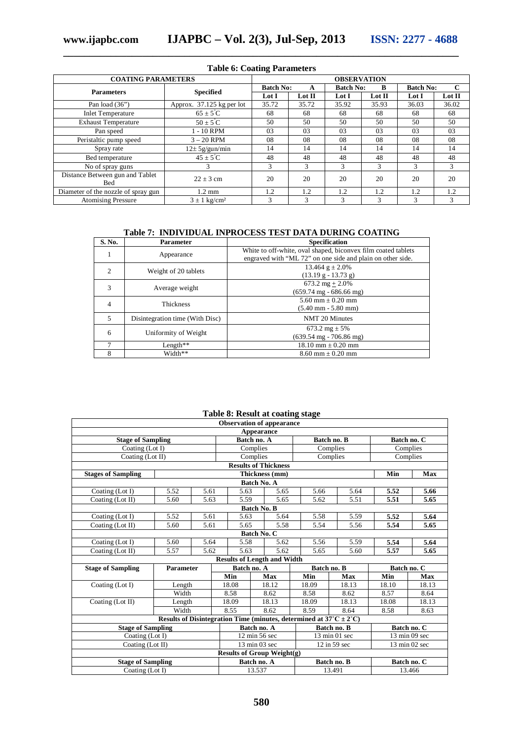| <b>Table 6: Coating Parameters</b>     |                           |                  |               |                  |               |       |                                 |  |  |
|----------------------------------------|---------------------------|------------------|---------------|------------------|---------------|-------|---------------------------------|--|--|
| <b>COATING PARAMETERS</b>              | <b>OBSERVATION</b>        |                  |               |                  |               |       |                                 |  |  |
| <b>Parameters</b>                      | <b>Specified</b>          | <b>Batch No:</b> | A             | <b>Batch No:</b> | B             |       | $\mathbf C$<br><b>Batch No:</b> |  |  |
|                                        |                           | Lot I            | Lot II        | Lot I            | Lot II        | Lot I | Lot II                          |  |  |
| Pan load $(36")$                       | Approx. 37.125 kg per lot | 35.72            | 35.72         | 35.92            | 35.93         | 36.03 | 36.02                           |  |  |
| <b>Inlet Temperature</b>               | $65 \pm 5^{\circ}$ C      | 68               | 68            | 68               | 68            | 68    | 68                              |  |  |
| <b>Exhaust Temperature</b>             | $50 \pm 5^{\circ}$ C      | 50               | 50            | 50               | 50            | 50    | 50                              |  |  |
| Pan speed                              | $1 - 10$ RPM              | 03               | 03            | 03               | 03            | 03    | 03                              |  |  |
| Peristaltic pump speed                 | $3 - 20$ RPM              | 08               | 08            | 08               | 08            | 08    | 08                              |  |  |
| Spray rate                             | $12\pm 5$ g/gun/min       | 14               | 14            | 14               | 14            | 14    | 14                              |  |  |
| Bed temperature                        | $45 \pm 5^{\circ}$ C      | 48               | 48            | 48               | 48            | 48    | 48                              |  |  |
| No of spray guns                       | 3                         | 3                | 3             | 3                | 3             | 3     | 3                               |  |  |
| Distance Between gun and Tablet<br>Bed | $22 \pm 3$ cm             | 20               | 20            | 20               | 20            | 20    | 20                              |  |  |
| Diameter of the nozzle of spray gun    | $1.2 \text{ mm}$          | 1.2              | 1.2           | 1.2              | 1.2           | 1.2   | 1.2                             |  |  |
| <b>Atomising Pressure</b>              | $3 \pm 1 \text{ kg/cm}^2$ | 3                | $\mathcal{L}$ | 3                | $\mathcal{R}$ | 3     | 3                               |  |  |

### **\_\_\_\_\_\_\_\_\_\_\_\_\_\_\_\_\_\_\_\_\_\_\_\_\_\_\_\_\_\_\_\_\_\_\_\_\_\_\_\_\_\_\_\_\_\_\_\_\_\_\_\_\_\_\_\_\_\_\_\_\_\_\_\_\_\_\_\_\_\_\_\_\_\_\_ Table 6: Coating Parameters**

#### **Table 7: INDIVIDUAL INPROCESS TEST DATA DURING COATING**

| S. No.         | <b>Parameter</b>                | <b>Specification</b>                                                                                                        |
|----------------|---------------------------------|-----------------------------------------------------------------------------------------------------------------------------|
|                | Appearance                      | White to off-white, oval shaped, biconvex film coated tablets<br>engraved with "ML 72" on one side and plain on other side. |
| $\mathfrak{D}$ | Weight of 20 tablets            | 13.464 $g \pm 2.0\%$<br>$(13.19 g - 13.73 g)$                                                                               |
| 3              | Average weight                  | $673.2 \text{ mg} + 2.0\%$<br>$(659.74 \text{ mg} - 686.66 \text{ mg})$                                                     |
| 4              | Thickness                       | $5.60$ mm $+ 0.20$ mm<br>$(5.40 \text{ mm} - 5.80 \text{ mm})$                                                              |
| 5              | Disintegration time (With Disc) | NMT 20 Minutes                                                                                                              |
| 6              | Uniformity of Weight            | 673.2 mg $\pm$ 5%<br>$(639.54 \text{ mg} - 706.86 \text{ mg})$                                                              |
|                | Length**                        | $18.10$ mm $\pm$ 0.20 mm                                                                                                    |
|                | Width**                         | $8.60$ mm $\pm$ 0.20 mm                                                                                                     |

#### **Table 8: Result at coating stage**

|                                   |                                                                                          |      | <b>Observation of appearance</b>   |                |                                  |             |               |          |             |  |
|-----------------------------------|------------------------------------------------------------------------------------------|------|------------------------------------|----------------|----------------------------------|-------------|---------------|----------|-------------|--|
| Appearance                        |                                                                                          |      |                                    |                |                                  |             |               |          |             |  |
| <b>Stage of Sampling</b>          | Batch no. A                                                                              |      |                                    |                | Batch no. B                      | Batch no. C |               |          |             |  |
|                                   | Coating $(Lot I)$                                                                        |      |                                    |                | Complies                         |             | Complies      |          | Complies    |  |
| Coating (Lot II)                  |                                                                                          |      | Complies                           |                |                                  | Complies    |               | Complies |             |  |
|                                   |                                                                                          |      |                                    |                | <b>Results of Thickness</b>      |             |               |          |             |  |
| <b>Stages of Sampling</b>         |                                                                                          |      |                                    | Thickness (mm) |                                  |             |               |          | Max         |  |
|                                   | <b>Batch No. A</b>                                                                       |      |                                    |                |                                  |             |               |          |             |  |
| Coating (Lot I)                   | 5.52                                                                                     | 5.61 | 5.63                               |                | 5.65                             | 5.66        | 5.64          | 5.52     | 5.66        |  |
| Coating (Lot II)                  | 5.60                                                                                     | 5.63 | 5.59                               |                | 5.65                             | 5.62        | 5.51          | 5.51     | 5.65        |  |
|                                   |                                                                                          |      |                                    |                | <b>Batch No. B</b>               |             |               |          |             |  |
| Coating (Lot I)                   | 5.52                                                                                     | 5.61 | 5.63                               |                | 5.64                             | 5.58        | 5.59          | 5.52     | 5.64        |  |
| Coating $(Lot II)$                | 5.60                                                                                     | 5.61 | 5.65                               |                | 5.58                             | 5.54        | 5.56          | 5.54     | 5.65        |  |
| Batch No. C                       |                                                                                          |      |                                    |                |                                  |             |               |          |             |  |
| Coating (Lot I)                   | 5.60                                                                                     | 5.64 | 5.58                               |                | 5.62                             | 5.56        | 5.59          | 5.54     | 5.64        |  |
| Coating $(Lot II)$                | 5.57                                                                                     | 5.62 | 5.63                               |                | 5.62                             | 5.65        | 5.60          | 5.57     | 5.65        |  |
|                                   |                                                                                          |      | <b>Results of Length and Width</b> |                |                                  |             |               |          |             |  |
| <b>Stage of Sampling</b>          | <b>Parameter</b>                                                                         |      | Batch no. A                        |                |                                  |             | Batch no. B   |          | Batch no. C |  |
|                                   |                                                                                          |      | Min                                |                | Max                              | Min         | Max           | Min      | Max         |  |
| Coating $(Lot I)$                 | Length                                                                                   |      | 18.08                              |                | 18.12                            | 18.09       | 18.13         | 18.10    | 18.13       |  |
|                                   | Width                                                                                    |      | 8.58                               |                | 8.62                             | 8.58        | 8.62          | 8.57     | 8.64        |  |
| Coating $(Lot II)$                | Length                                                                                   |      | 18.09                              |                | 18.13                            | 18.09       | 18.13         | 18.08    | 18.13       |  |
|                                   | Width                                                                                    |      | 8.55                               |                | 8.62                             | 8.59        | 8.64          | 8.58     | 8.63        |  |
|                                   | Results of Disintegration Time (minutes, determined at $37^{\circ}$ C $\pm 2^{\circ}$ C) |      |                                    |                |                                  |             |               |          |             |  |
| <b>Stage of Sampling</b>          |                                                                                          |      | Batch no. A                        |                | Batch no. B                      |             | Batch no. C   |          |             |  |
| Coating (Lot I)                   |                                                                                          |      | $12 \text{ min } 56 \text{ sec}$   |                | $13 \text{ min } 01 \text{ sec}$ |             | 13 min 09 sec |          |             |  |
| Coating (Lot II)                  |                                                                                          |      | 13 min 03 sec                      |                | 12 in 59 sec                     |             | 13 min 02 sec |          |             |  |
| <b>Results of Group Weight(g)</b> |                                                                                          |      |                                    |                |                                  |             |               |          |             |  |
| <b>Stage of Sampling</b>          | Batch no. A                                                                              |      |                                    | Batch no. B    |                                  | Batch no. C |               |          |             |  |
| Coating (Lot I)                   |                                                                                          |      | 13.537                             |                |                                  | 13.491      |               | 13.466   |             |  |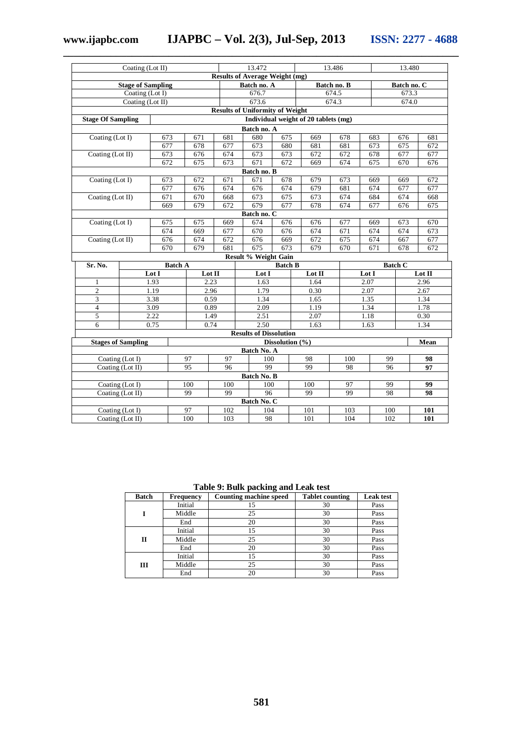**www.ijapbc.com IJAPBC – Vol. 2(3), Jul-Sep, 2013 ISSN: 2277 - 4688 \_\_\_\_\_\_\_\_\_\_\_\_\_\_\_\_\_\_\_\_\_\_\_\_\_\_\_\_\_\_\_\_\_\_\_\_\_\_\_\_\_\_\_\_\_\_\_\_\_\_\_\_\_\_\_\_\_\_\_\_\_\_\_\_\_\_\_\_\_\_\_\_\_\_\_**

| Coating (Lot II)                      |                  |                | 13.472     |       |                                        | 13.486          |                                      | 13.480   |       |                |        |
|---------------------------------------|------------------|----------------|------------|-------|----------------------------------------|-----------------|--------------------------------------|----------|-------|----------------|--------|
| <b>Results of Average Weight (mg)</b> |                  |                |            |       |                                        |                 |                                      |          |       |                |        |
| <b>Stage of Sampling</b>              |                  |                |            |       | Batch no. A                            |                 | Batch no. B                          |          |       | Batch no. C    |        |
| Coating (Lot I)                       |                  |                |            | 676.7 |                                        |                 | 674.5                                |          | 673.3 |                |        |
|                                       | Coating (Lot II) |                |            | 673.6 |                                        |                 | 674.3                                |          | 674.0 |                |        |
|                                       |                  |                |            |       | <b>Results of Uniformity of Weight</b> |                 |                                      |          |       |                |        |
| <b>Stage Of Sampling</b>              |                  |                |            |       |                                        |                 | Individual weight of 20 tablets (mg) |          |       |                |        |
| Batch no. A                           |                  |                |            |       |                                        |                 |                                      |          |       |                |        |
| Coating (Lot I)                       | 673              |                | 671        | 681   | 680                                    | 675             | 669                                  | 678      | 683   | 676            | 681    |
|                                       | 677              |                | 678        | 677   | 673                                    | 680             | 681                                  | 681      | 673   | 675            | 672    |
| Coating (Lot II)                      | 673              |                | 676        | 674   | 673                                    | 673             | 672                                  | 672      | 678   | 677            | 677    |
|                                       | 672              |                | 675        | 673   | 671                                    | 672             | 669                                  | 674      | 675   | 670            | 676    |
|                                       |                  |                |            |       | Batch no. B                            |                 |                                      |          |       |                |        |
| Coating (Lot I)                       | 673              |                | 672        | 671   | 671                                    | 678             | 679                                  | 673      | 669   | 669            | 672    |
|                                       | 677              |                | 676        | 674   | 676                                    | 674             | 679                                  | 681      | 674   | 677            | 677    |
| Coating (Lot II)                      | 671              |                | 670        | 668   | 673                                    | 675             | 673                                  | 674      | 684   | 674            | 668    |
|                                       | 669              |                | 679        | 672   | 679                                    | 677             | 678                                  | 674      | 677   | 676            | 675    |
|                                       |                  |                |            |       | Batch no. C                            |                 |                                      |          |       |                |        |
| Coating (Lot I)                       | 675              |                | 675        | 669   | 674                                    | 676             | 676                                  | 677      | 669   | 673            | 670    |
|                                       | 674              |                | 669        | 677   | 670                                    | 676             | 674                                  | 671      | 674   | 674            | 673    |
| Coating (Lot II)                      |                  | 676            | 674        | 672   | 676                                    | 669             | 672                                  | 675      | 674   | 667            | 677    |
| 679<br>670                            |                  |                | 681        | 675   | 673                                    | 679             | 670                                  | 671      | 678   | 672            |        |
|                                       |                  |                |            |       | Result % Weight Gain                   |                 |                                      |          |       |                |        |
| Sr. No.                               |                  | <b>Batch A</b> |            |       |                                        | <b>Batch B</b>  |                                      |          |       | <b>Batch C</b> |        |
|                                       | Lot I            |                | Lot II     |       | Lot I                                  |                 | Lot II                               |          | Lot I |                | Lot II |
| 1                                     | 1.93             |                | 2.23       |       | 1.63                                   |                 | 1.64                                 | 2.07     |       |                | 2.96   |
| $\overline{c}$                        | 1.19             |                | 2.96       |       | 1.79                                   |                 | 0.30                                 | 2.07     |       | 2.67           |        |
| $\mathfrak{Z}$                        | 3.38             |                | 0.59       |       | 1.34                                   |                 | 1.65                                 | 1.35     |       | 1.34           |        |
| $\overline{4}$                        | 3.09             |                | 0.89       |       | 2.09                                   |                 | 1.19                                 | 1.34     |       | 1.78           |        |
| 5                                     | 2.22             |                | 1.49       |       | 2.51                                   |                 | 2.07                                 | 1.18     |       | 0.30           |        |
| 6                                     | 0.75             |                | 0.74       |       | 2.50                                   |                 | 1.63                                 |          | 1.63  |                | 1.34   |
|                                       |                  |                |            |       | <b>Results of Dissolution</b>          |                 |                                      |          |       |                |        |
| <b>Stages of Sampling</b>             |                  |                |            |       |                                        | Dissolution (%) |                                      |          |       |                | Mean   |
|                                       |                  |                |            |       | Batch No. A                            |                 |                                      |          |       |                |        |
| Coating (Lot I)<br>97                 |                  |                | 97<br>100  |       | 98                                     | 100             | 99                                   |          | 98    |                |        |
| Coating (Lot II)<br>95                |                  | 96             | 99         |       | 99                                     | 98              | 96                                   |          | 97    |                |        |
| Batch No. B                           |                  |                |            |       |                                        |                 |                                      |          |       |                |        |
| Coating $(Lot I)$<br>100              |                  |                | 100<br>100 |       | 100                                    | 97              | 99                                   |          | 99    |                |        |
| Coating (Lot II)                      |                  | 99             |            | 99    | $\overline{96}$                        |                 | 99                                   | 99<br>98 |       |                | 98     |
| Batch No. C                           |                  |                |            |       |                                        |                 |                                      |          |       |                |        |
| Coating (Lot I)                       |                  | 97             |            | 102   | 104                                    |                 | 101                                  | 103      | 100   |                | 101    |
| Coating (Lot II)<br>100               |                  |                | 103        | 98    |                                        | 101             | 104                                  | 102      |       | 101            |        |

**Table 9: Bulk packing and Leak test**

| <b>Batch</b> | <b>Frequency</b> | <b>Counting machine speed</b> | <b>Tablet counting</b> | <b>Leak test</b> |
|--------------|------------------|-------------------------------|------------------------|------------------|
|              | Initial          | 15                            | 30                     | Pass             |
|              | Middle           | 25                            | 30                     | Pass             |
|              | End              | 20                            | 30                     | Pass             |
| П            | Initial          | 15                            | 30                     | Pass             |
|              | Middle           | 25                            | 30                     | Pass             |
|              | End              | 20                            | 30                     | Pass             |
| Ш            | Initial          | 15                            | 30                     | Pass             |
|              | Middle           | 25                            | 30                     | Pass             |
|              | End              | 20                            | 30                     | Pass             |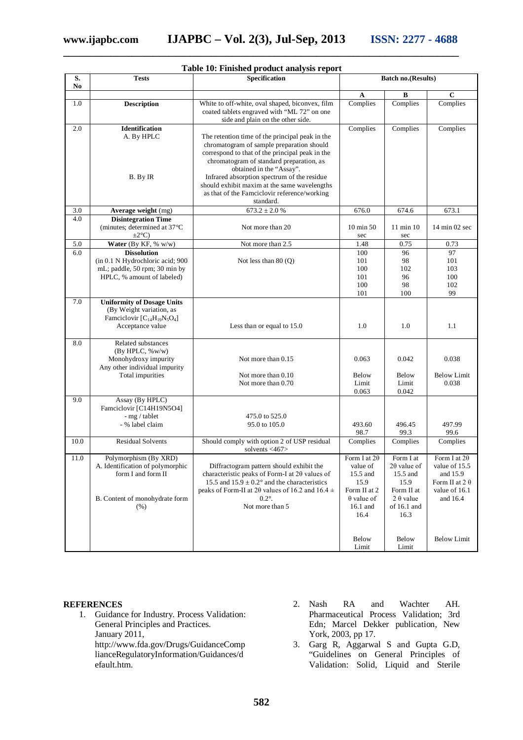| Table 10: Finished product analysis report |                                                                                                                                               |                                                                                                                                                                                                                                                                                                                                                                        |                                                                                                      |                                                                                                        |                                                                                                        |  |  |  |  |
|--------------------------------------------|-----------------------------------------------------------------------------------------------------------------------------------------------|------------------------------------------------------------------------------------------------------------------------------------------------------------------------------------------------------------------------------------------------------------------------------------------------------------------------------------------------------------------------|------------------------------------------------------------------------------------------------------|--------------------------------------------------------------------------------------------------------|--------------------------------------------------------------------------------------------------------|--|--|--|--|
| S.<br>No                                   | <b>Tests</b>                                                                                                                                  | Specification                                                                                                                                                                                                                                                                                                                                                          |                                                                                                      | <b>Batch no.(Results)</b>                                                                              |                                                                                                        |  |  |  |  |
|                                            |                                                                                                                                               |                                                                                                                                                                                                                                                                                                                                                                        | A                                                                                                    | B                                                                                                      | $\mathbf C$                                                                                            |  |  |  |  |
| 1.0                                        | <b>Description</b>                                                                                                                            | White to off-white, oval shaped, biconvex, film<br>coated tablets engraved with "ML 72" on one<br>side and plain on the other side.                                                                                                                                                                                                                                    | Complies                                                                                             | Complies                                                                                               | Complies                                                                                               |  |  |  |  |
| 2.0                                        | <b>Identification</b>                                                                                                                         |                                                                                                                                                                                                                                                                                                                                                                        | Complies                                                                                             | Complies                                                                                               | Complies                                                                                               |  |  |  |  |
|                                            | A. By HPLC<br>B. By IR                                                                                                                        | The retention time of the principal peak in the<br>chromatogram of sample preparation should<br>correspond to that of the principal peak in the<br>chromatogram of standard preparation, as<br>obtained in the "Assay".<br>Infrared absorption spectrum of the residue<br>should exhibit maxim at the same wavelengths<br>as that of the Famciclovir reference/working |                                                                                                      |                                                                                                        |                                                                                                        |  |  |  |  |
|                                            |                                                                                                                                               | standard.                                                                                                                                                                                                                                                                                                                                                              |                                                                                                      |                                                                                                        |                                                                                                        |  |  |  |  |
| 3.0                                        | Average weight (mg)                                                                                                                           | $673.2 \pm 2.0 %$                                                                                                                                                                                                                                                                                                                                                      | 676.0                                                                                                | 674.6                                                                                                  | 673.1                                                                                                  |  |  |  |  |
| 4.0                                        | <b>Disintegration Time</b><br>(minutes; determined at 37°C<br>$\pm 2^{\circ}$ C)                                                              | Not more than 20                                                                                                                                                                                                                                                                                                                                                       | 10 min 50<br>sec                                                                                     | 11 min 10<br>sec                                                                                       | $14 \text{ min } 02 \text{ sec}$                                                                       |  |  |  |  |
| 5.0                                        | Water (By KF, % w/w)                                                                                                                          | Not more than 2.5                                                                                                                                                                                                                                                                                                                                                      | 1.48                                                                                                 | 0.75                                                                                                   | 0.73                                                                                                   |  |  |  |  |
| 6.0                                        | <b>Dissolution</b><br>(in 0.1 N Hydrochloric acid; 900<br>mL; paddle, 50 rpm; 30 min by<br>HPLC, % amount of labeled)                         | Not less than $80(Q)$                                                                                                                                                                                                                                                                                                                                                  | 100<br>101<br>100<br>101<br>100<br>101                                                               | 96<br>98<br>102<br>96<br>98<br>100                                                                     | 97<br>101<br>103<br>100<br>102<br>99                                                                   |  |  |  |  |
| 7.0                                        | <b>Uniformity of Dosage Units</b><br>(By Weight variation, as<br>Famciclovir [C <sub>14</sub> H <sub>19</sub> N <sub>5</sub> O <sub>4</sub> ] |                                                                                                                                                                                                                                                                                                                                                                        |                                                                                                      |                                                                                                        |                                                                                                        |  |  |  |  |
|                                            | Acceptance value                                                                                                                              | Less than or equal to 15.0                                                                                                                                                                                                                                                                                                                                             | 1.0                                                                                                  | 1.0                                                                                                    | 1.1                                                                                                    |  |  |  |  |
| 8.0                                        | Related substances<br>(By HPLC, %w/w)<br>Monohydroxy impurity<br>Any other individual impurity                                                | Not more than 0.15                                                                                                                                                                                                                                                                                                                                                     | 0.063                                                                                                | 0.042                                                                                                  | 0.038                                                                                                  |  |  |  |  |
|                                            | Total impurities                                                                                                                              | Not more than 0.10<br>Not more than 0.70                                                                                                                                                                                                                                                                                                                               | Below<br>Limit<br>0.063                                                                              | Below<br>Limit<br>0.042                                                                                | <b>Below Limit</b><br>0.038                                                                            |  |  |  |  |
| 9.0                                        | Assay (By HPLC)<br>Famciclovir [C14H19N5O4]<br>- mg / tablet<br>- % label claim                                                               | 475.0 to 525.0<br>95.0 to 105.0                                                                                                                                                                                                                                                                                                                                        | 493.60<br>98.7                                                                                       | 496.45<br>99.3                                                                                         | 497.99<br>99.6                                                                                         |  |  |  |  |
| 10.0                                       | <b>Residual Solvents</b>                                                                                                                      | Should comply with option 2 of USP residual<br>solvents $<$ 467>                                                                                                                                                                                                                                                                                                       | Complies                                                                                             | Complies                                                                                               | Complies                                                                                               |  |  |  |  |
| 11.0                                       | Polymorphism (By XRD)<br>A. Identification of polymorphic<br>form I and form II<br>B. Content of monohydrate form<br>(% )                     | Diffractogram pattern should exhibit the<br>characteristic peaks of Form-I at 2θ values of<br>15.5 and $15.9 \pm 0.2$ ° and the characteristics<br>peaks of Form-II at 20 values of 16.2 and 16.4 $\pm$<br>$0.2^\circ$ .<br>Not more than 5                                                                                                                            | Form I at $2\theta$<br>value of<br>15.5 and<br>15.9<br>Form II at 2<br>$\theta$ value of<br>16.1 and | Form I at<br>$2\theta$ value of<br>15.5 and<br>15.9<br>Form II at<br>$2 \theta$ value<br>of $16.1$ and | Form I at $2\theta$<br>value of 15.5<br>and 15.9<br>Form II at $2 \theta$<br>value of 16.1<br>and 16.4 |  |  |  |  |
|                                            |                                                                                                                                               |                                                                                                                                                                                                                                                                                                                                                                        | 16.4<br>Below<br>Limit                                                                               | 16.3<br>Below<br>Limit                                                                                 | <b>Below Limit</b>                                                                                     |  |  |  |  |

# **\_\_\_\_\_\_\_\_\_\_\_\_\_\_\_\_\_\_\_\_\_\_\_\_\_\_\_\_\_\_\_\_\_\_\_\_\_\_\_\_\_\_\_\_\_\_\_\_\_\_\_\_\_\_\_\_\_\_\_\_\_\_\_\_\_\_\_\_\_\_\_\_\_\_\_**

#### **REFERENCES**

- 1. Guidance for Industry. Process Validation: General Principles and Practices. January 2011, http://www.fda.gov/Drugs/GuidanceComp lianceRegulatoryInformation/Guidances/d efault.htm.
- 2. Nash RA and Wachter AH. Pharmaceutical Process Validation; 3rd Edn; Marcel Dekker publication, New York, 2003, pp 17.
- 3. Garg R, Aggarwal S and Gupta G.D, "Guidelines on General Principles of Validation: Solid, Liquid and Sterile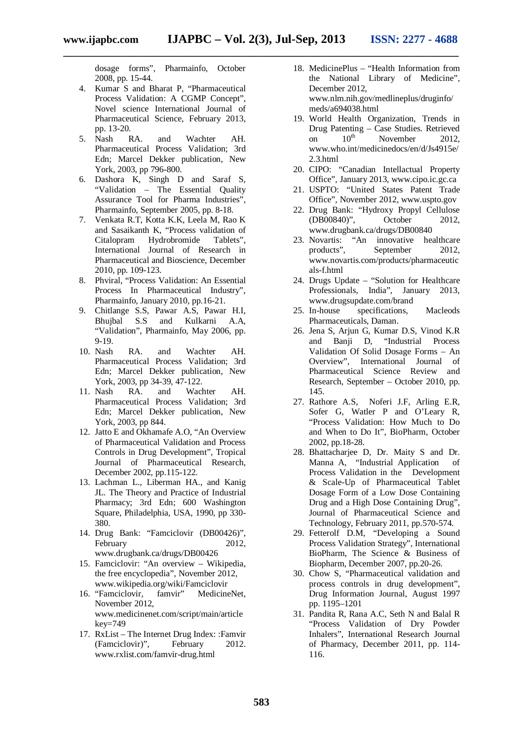dosage forms", Pharmainfo, October 2008, pp. 15-44.

- 4. Kumar S and Bharat P, "Pharmaceutical Process Validation: A CGMP Concept", Novel science International Journal of Pharmaceutical Science, February 2013, pp. 13-20.<br>Nash RA.
- 5. Nash RA. and Wachter AH. Pharmaceutical Process Validation; 3rd Edn; Marcel Dekker publication, New York, 2003, pp 796-800.
- 6. Dashora K, Singh D and Saraf S, "Validation – The Essential Quality Assurance Tool for Pharma Industries", Pharmainfo, September 2005, pp. 8-18.
- 7. Venkata R.T, Kotta K.K, Leela M, Rao K and Sasaikanth K, "Process validation of Citalopram Hydrobromide Tablets", International Journal of Research in Pharmaceutical and Bioscience, December 2010, pp. 109-123.
- 8. Phviral, "Process Validation: An Essential Process In Pharmaceutical Industry", Pharmainfo, January 2010, pp.16-21.
- 9. Chitlange S.S, Pawar A.S, Pawar H.I, Bhujbal S.S and Kulkarni A.A, "Validation", Pharmainfo, May 2006, pp. 9-19.
- 10. Nash RA. and Wachter AH. Pharmaceutical Process Validation; 3rd Edn; Marcel Dekker publication, New York, 2003, pp 34-39, 47-122.
- 11. Nash RA. and Wachter AH. Pharmaceutical Process Validation; 3rd Edn; Marcel Dekker publication, New York, 2003, pp 844.
- 12. Jatto E and Okhamafe A.O, "An Overview of Pharmaceutical Validation and Process Controls in Drug Development", Tropical Journal of Pharmaceutical Research, December 2002, pp.115-122.
- 13. Lachman L., Liberman HA., and Kanig JL. The Theory and Practice of Industrial Pharmacy; 3rd Edn; 600 Washington Square, Philadelphia, USA, 1990, pp 330- 380.
- 14. Drug Bank: "Famciclovir (DB00426)", February 2012. www.drugbank.ca/drugs/DB00426
- 15. Famciclovir: "An overview Wikipedia, the free encyclopedia", November 2012,
- www.wikipedia.org/wiki/Famciclovir<br>
"Famciclovir, famvir" MedicineNet. 16. "Famciclovir, November 2012, www.medicinenet.com/script/main/article key=749
- 17. RxList The Internet Drug Index: :Famvir (Famciclovir)", February 2012. www.rxlist.com/famvir-drug.html
- 18. MedicinePlus "Health Information from the National Library of Medicine", December 2012, www.nlm.nih.gov/medlineplus/druginfo/ meds/a694038.html
- 19. World Health Organization, Trends in Drug Patenting – Case Studies. Retrieved<br>on  $10^{\text{th}}$  November 2012. on  $10^{th}$  November www.who.int/medicinedocs/en/d/Js4915e/ 2.3.html
- 20. CIPO: "Canadian Intellactual Property Office", January 2013, www.cipo.ic.gc.ca
- 21. USPTO: "United States Patent Trade Office", November 2012, www.uspto.gov
- 22. Drug Bank: "Hydroxy Propyl Cellulose (DB00840)", October 2012, www.drugbank.ca/drugs/DB00840
- 23. Novartis: "An innovative healthcare<br>products", September 2012, September 2012, www.novartis.com/products/pharmaceutic als-f.html
- 24. Drugs Update "Solution for Healthcare Professionals, India", January 2013, www.drugsupdate.com/brand
- 25. In-house specifications, Macleods Pharmaceuticals, Daman.
- 26. Jena S, Arjun G, Kumar D.S, Vinod K.R and Banji D, "Industrial Process Validation Of Solid Dosage Forms – An Overview", International Journal of Pharmaceutical Science Review and Research, September – October 2010, pp. 145.
- 27. Rathore A.S, Noferi J.F, Arling E.R, Sofer G, Watler P and O'Leary R, "Process Validation: How Much to Do and When to Do It", BioPharm, October 2002, pp.18-28.
- 28. Bhattacharjee D, Dr. Maity S and Dr. Manna A, "Industrial Application of Process Validation in the Development & Scale-Up of Pharmaceutical Tablet Dosage Form of a Low Dose Containing Drug and a High Dose Containing Drug", Journal of Pharmaceutical Science and Technology, February 2011, pp.570-574.
- 29. Fetterolf D.M, "Developing a Sound Process Validation Strategy", International BioPharm, The Science & Business of Biopharm, December 2007, pp.20-26.
- 30. Chow S, "Pharmaceutical validation and process controls in drug development", Drug Information Journal, August 1997 pp. 1195–1201
- 31. Pandita R, Rana A.C, Seth N and Balal R "Process Validation of Dry Powder Inhalers", International Research Journal of Pharmacy, December 2011, pp. 114- 116.